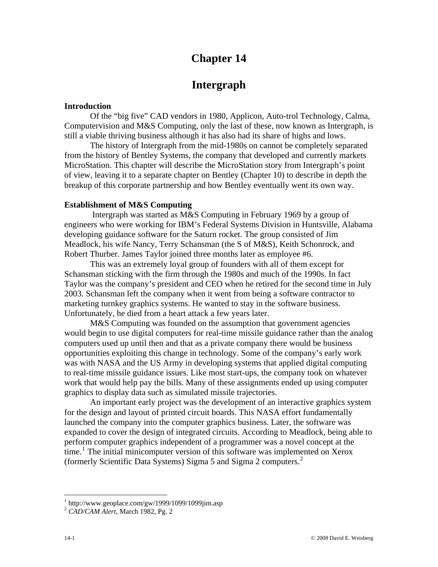# **Chapter 14**

# **Intergraph**

# **Introduction**

Of the "big five" CAD vendors in 1980, Applicon, Auto-trol Technology, Calma, Computervision and M&S Computing, only the last of these, now known as Intergraph, is still a viable thriving business although it has also had its share of highs and lows.

The history of Intergraph from the mid-1980s on cannot be completely separated from the history of Bentley Systems, the company that developed and currently markets MicroStation. This chapter will describe the MicroStation story from Intergraph's point of view, leaving it to a separate chapter on Bentley (Chapter 10) to describe in depth the breakup of this corporate partnership and how Bentley eventually went its own way.

### **Establishment of M&S Computing**

 Intergraph was started as M&S Computing in February 1969 by a group of engineers who were working for IBM's Federal Systems Division in Huntsville, Alabama developing guidance software for the Saturn rocket. The group consisted of Jim Meadlock, his wife Nancy, Terry Schansman (the S of M&S), Keith Schonrock, and Robert Thurber. James Taylor joined three months later as employee #6.

This was an extremely loyal group of founders with all of them except for Schansman sticking with the firm through the 1980s and much of the 1990s. In fact Taylor was the company's president and CEO when he retired for the second time in July 2003. Schansman left the company when it went from being a software contractor to marketing turnkey graphics systems. He wanted to stay in the software business. Unfortunately, he died from a heart attack a few years later.

M&S Computing was founded on the assumption that government agencies would begin to use digital computers for real-time missile guidance rather than the analog computers used up until then and that as a private company there would be business opportunities exploiting this change in technology. Some of the company's early work was with NASA and the US Army in developing systems that applied digital computing to real-time missile guidance issues. Like most start-ups, the company took on whatever work that would help pay the bills. Many of these assignments ended up using computer graphics to display data such as simulated missile trajectories.

An important early project was the development of an interactive graphics system for the design and layout of printed circuit boards. This NASA effort fundamentally launched the company into the computer graphics business. Later, the software was expanded to cover the design of integrated circuits. According to Meadlock, being able to perform computer graphics independent of a programmer was a novel concept at the time.<sup>[1](#page-0-0)</sup> The initial minicomputer version of this software was implemented on Xerox (formerly Scientific Data Systems) Sigma 5 and Sigma [2](#page-0-1) computers.<sup>2</sup>

<span id="page-0-0"></span> 1 http://www.geoplace.com/gw/1999/1099/1099jim.asp 2 *CAD/CAM Alert*, March 1982, Pg. 2

<span id="page-0-1"></span>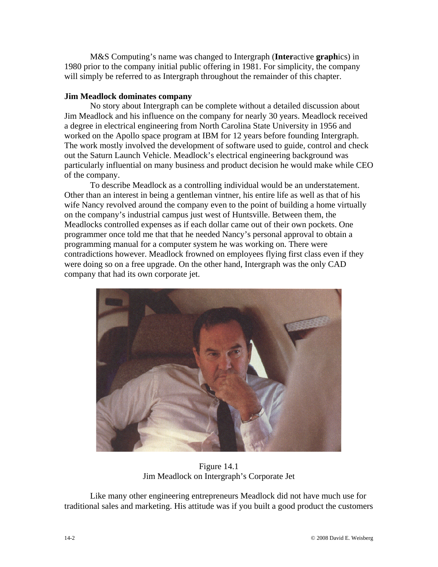M&S Computing's name was changed to Intergraph (**Inter**active **graph**ics) in 1980 prior to the company initial public offering in 1981. For simplicity, the company will simply be referred to as Intergraph throughout the remainder of this chapter.

# **Jim Meadlock dominates company**

No story about Intergraph can be complete without a detailed discussion about Jim Meadlock and his influence on the company for nearly 30 years. Meadlock received a degree in electrical engineering from North Carolina State University in 1956 and worked on the Apollo space program at IBM for 12 years before founding Intergraph. The work mostly involved the development of software used to guide, control and check out the Saturn Launch Vehicle. Meadlock's electrical engineering background was particularly influential on many business and product decision he would make while CEO of the company.

To describe Meadlock as a controlling individual would be an understatement. Other than an interest in being a gentleman vintner, his entire life as well as that of his wife Nancy revolved around the company even to the point of building a home virtually on the company's industrial campus just west of Huntsville. Between them, the Meadlocks controlled expenses as if each dollar came out of their own pockets. One programmer once told me that that he needed Nancy's personal approval to obtain a programming manual for a computer system he was working on. There were contradictions however. Meadlock frowned on employees flying first class even if they were doing so on a free upgrade. On the other hand, Intergraph was the only CAD company that had its own corporate jet.



Figure 14.1 Jim Meadlock on Intergraph's Corporate Jet

Like many other engineering entrepreneurs Meadlock did not have much use for traditional sales and marketing. His attitude was if you built a good product the customers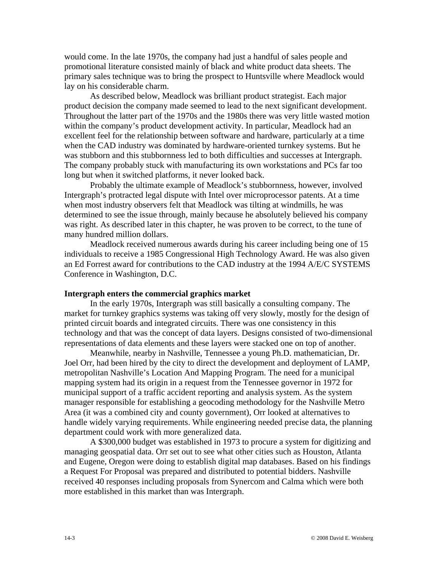would come. In the late 1970s, the company had just a handful of sales people and promotional literature consisted mainly of black and white product data sheets. The primary sales technique was to bring the prospect to Huntsville where Meadlock would lay on his considerable charm.

As described below, Meadlock was brilliant product strategist. Each major product decision the company made seemed to lead to the next significant development. Throughout the latter part of the 1970s and the 1980s there was very little wasted motion within the company's product development activity. In particular, Meadlock had an excellent feel for the relationship between software and hardware, particularly at a time when the CAD industry was dominated by hardware-oriented turnkey systems. But he was stubborn and this stubbornness led to both difficulties and successes at Intergraph. The company probably stuck with manufacturing its own workstations and PCs far too long but when it switched platforms, it never looked back.

Probably the ultimate example of Meadlock's stubbornness, however, involved Intergraph's protracted legal dispute with Intel over microprocessor patents. At a time when most industry observers felt that Meadlock was tilting at windmills, he was determined to see the issue through, mainly because he absolutely believed his company was right. As described later in this chapter, he was proven to be correct, to the tune of many hundred million dollars.

Meadlock received numerous awards during his career including being one of 15 individuals to receive a 1985 Congressional High Technology Award. He was also given an Ed Forrest award for contributions to the CAD industry at the 1994 A/E/C SYSTEMS Conference in Washington, D.C.

### **Intergraph enters the commercial graphics market**

In the early 1970s, Intergraph was still basically a consulting company. The market for turnkey graphics systems was taking off very slowly, mostly for the design of printed circuit boards and integrated circuits. There was one consistency in this technology and that was the concept of data layers. Designs consisted of two-dimensional representations of data elements and these layers were stacked one on top of another.

Meanwhile, nearby in Nashville, Tennessee a young Ph.D. mathematician, Dr. Joel Orr, had been hired by the city to direct the development and deployment of LAMP, metropolitan Nashville's Location And Mapping Program. The need for a municipal mapping system had its origin in a request from the Tennessee governor in 1972 for municipal support of a traffic accident reporting and analysis system. As the system manager responsible for establishing a geocoding methodology for the Nashville Metro Area (it was a combined city and county government), Orr looked at alternatives to handle widely varying requirements. While engineering needed precise data, the planning department could work with more generalized data.

A \$300,000 budget was established in 1973 to procure a system for digitizing and managing geospatial data. Orr set out to see what other cities such as Houston, Atlanta and Eugene, Oregon were doing to establish digital map databases. Based on his findings a Request For Proposal was prepared and distributed to potential bidders. Nashville received 40 responses including proposals from Synercom and Calma which were both more established in this market than was Intergraph.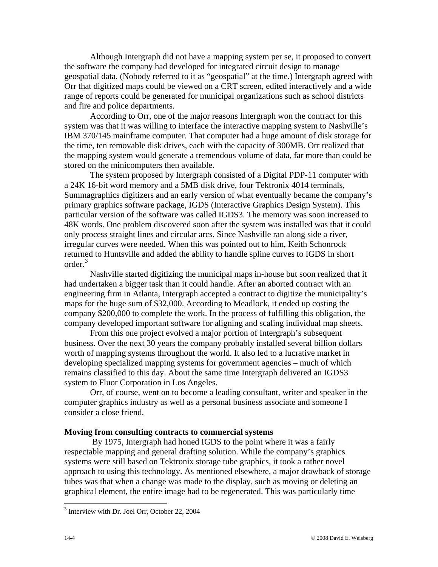Although Intergraph did not have a mapping system per se, it proposed to convert the software the company had developed for integrated circuit design to manage geospatial data. (Nobody referred to it as "geospatial" at the time.) Intergraph agreed with Orr that digitized maps could be viewed on a CRT screen, edited interactively and a wide range of reports could be generated for municipal organizations such as school districts and fire and police departments.

According to Orr, one of the major reasons Intergraph won the contract for this system was that it was willing to interface the interactive mapping system to Nashville's IBM 370/145 mainframe computer. That computer had a huge amount of disk storage for the time, ten removable disk drives, each with the capacity of 300MB. Orr realized that the mapping system would generate a tremendous volume of data, far more than could be stored on the minicomputers then available.

The system proposed by Intergraph consisted of a Digital PDP-11 computer with a 24K 16-bit word memory and a 5MB disk drive, four Tektronix 4014 terminals, Summagraphics digitizers and an early version of what eventually became the company's primary graphics software package, IGDS (Interactive Graphics Design System). This particular version of the software was called IGDS3. The memory was soon increased to 48K words. One problem discovered soon after the system was installed was that it could only process straight lines and circular arcs. Since Nashville ran along side a river, irregular curves were needed. When this was pointed out to him, Keith Schonrock returned to Huntsville and added the ability to handle spline curves to IGDS in short order.[3](#page-3-0)

Nashville started digitizing the municipal maps in-house but soon realized that it had undertaken a bigger task than it could handle. After an aborted contract with an engineering firm in Atlanta, Intergraph accepted a contract to digitize the municipality's maps for the huge sum of \$32,000. According to Meadlock, it ended up costing the company \$200,000 to complete the work. In the process of fulfilling this obligation, the company developed important software for aligning and scaling individual map sheets.

From this one project evolved a major portion of Intergraph's subsequent business. Over the next 30 years the company probably installed several billion dollars worth of mapping systems throughout the world. It also led to a lucrative market in developing specialized mapping systems for government agencies – much of which remains classified to this day. About the same time Intergraph delivered an IGDS3 system to Fluor Corporation in Los Angeles.

Orr, of course, went on to become a leading consultant, writer and speaker in the computer graphics industry as well as a personal business associate and someone I consider a close friend.

### **Moving from consulting contracts to commercial systems**

 By 1975, Intergraph had honed IGDS to the point where it was a fairly respectable mapping and general drafting solution. While the company's graphics systems were still based on Tektronix storage tube graphics, it took a rather novel approach to using this technology. As mentioned elsewhere, a major drawback of storage tubes was that when a change was made to the display, such as moving or deleting an graphical element, the entire image had to be regenerated. This was particularly time

<span id="page-3-0"></span><sup>&</sup>lt;sup>3</sup> Interview with Dr. Joel Orr, October 22, 2004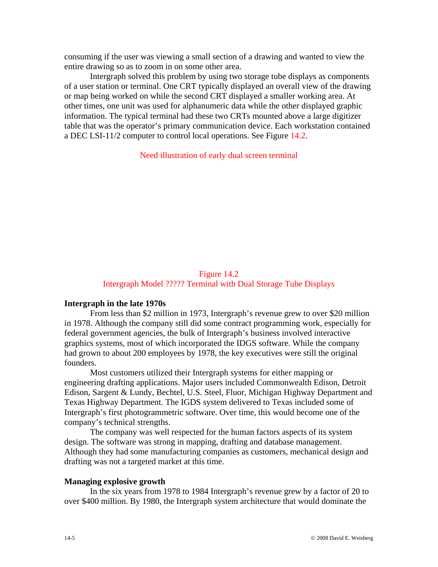consuming if the user was viewing a small section of a drawing and wanted to view the entire drawing so as to zoom in on some other area.

Intergraph solved this problem by using two storage tube displays as components of a user station or terminal. One CRT typically displayed an overall view of the drawing or map being worked on while the second CRT displayed a smaller working area. At other times, one unit was used for alphanumeric data while the other displayed graphic information. The typical terminal had these two CRTs mounted above a large digitizer table that was the operator's primary communication device. Each workstation contained a DEC LSI-11/2 computer to control local operations. See Figure 14.2.

Need illustration of early dual screen terminal

# Figure 14.2 Intergraph Model ????? Terminal with Dual Storage Tube Displays

#### **Intergraph in the late 1970s**

From less than \$2 million in 1973, Intergraph's revenue grew to over \$20 million in 1978. Although the company still did some contract programming work, especially for federal government agencies, the bulk of Intergraph's business involved interactive graphics systems, most of which incorporated the IDGS software. While the company had grown to about 200 employees by 1978, the key executives were still the original founders.

Most customers utilized their Intergraph systems for either mapping or engineering drafting applications. Major users included Commonwealth Edison, Detroit Edison, Sargent & Lundy, Bechtel, U.S. Steel, Fluor, Michigan Highway Department and Texas Highway Department. The IGDS system delivered to Texas included some of Intergraph's first photogrammetric software. Over time, this would become one of the company's technical strengths.

The company was well respected for the human factors aspects of its system design. The software was strong in mapping, drafting and database management. Although they had some manufacturing companies as customers, mechanical design and drafting was not a targeted market at this time.

### **Managing explosive growth**

In the six years from 1978 to 1984 Intergraph's revenue grew by a factor of 20 to over \$400 million. By 1980, the Intergraph system architecture that would dominate the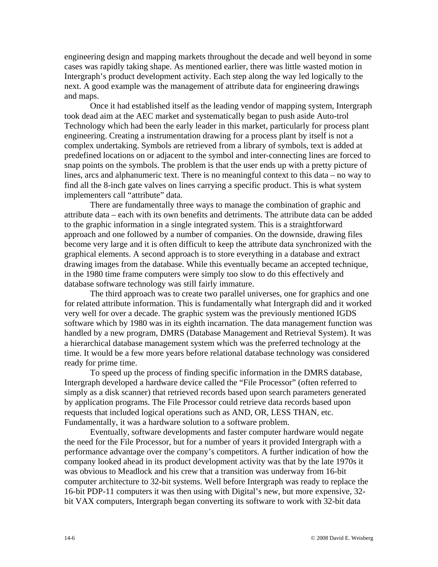engineering design and mapping markets throughout the decade and well beyond in some cases was rapidly taking shape. As mentioned earlier, there was little wasted motion in Intergraph's product development activity. Each step along the way led logically to the next. A good example was the management of attribute data for engineering drawings and maps.

Once it had established itself as the leading vendor of mapping system, Intergraph took dead aim at the AEC market and systematically began to push aside Auto-trol Technology which had been the early leader in this market, particularly for process plant engineering. Creating a instrumentation drawing for a process plant by itself is not a complex undertaking. Symbols are retrieved from a library of symbols, text is added at predefined locations on or adjacent to the symbol and inter-connecting lines are forced to snap points on the symbols. The problem is that the user ends up with a pretty picture of lines, arcs and alphanumeric text. There is no meaningful context to this data – no way to find all the 8-inch gate valves on lines carrying a specific product. This is what system implementers call "attribute" data.

There are fundamentally three ways to manage the combination of graphic and attribute data – each with its own benefits and detriments. The attribute data can be added to the graphic information in a single integrated system. This is a straightforward approach and one followed by a number of companies. On the downside, drawing files become very large and it is often difficult to keep the attribute data synchronized with the graphical elements. A second approach is to store everything in a database and extract drawing images from the database. While this eventually became an accepted technique, in the 1980 time frame computers were simply too slow to do this effectively and database software technology was still fairly immature.

The third approach was to create two parallel universes, one for graphics and one for related attribute information. This is fundamentally what Intergraph did and it worked very well for over a decade. The graphic system was the previously mentioned IGDS software which by 1980 was in its eighth incarnation. The data management function was handled by a new program, DMRS (Database Management and Retrieval System). It was a hierarchical database management system which was the preferred technology at the time. It would be a few more years before relational database technology was considered ready for prime time.

To speed up the process of finding specific information in the DMRS database, Intergraph developed a hardware device called the "File Processor" (often referred to simply as a disk scanner) that retrieved records based upon search parameters generated by application programs. The File Processor could retrieve data records based upon requests that included logical operations such as AND, OR, LESS THAN, etc. Fundamentally, it was a hardware solution to a software problem.

Eventually, software developments and faster computer hardware would negate the need for the File Processor, but for a number of years it provided Intergraph with a performance advantage over the company's competitors. A further indication of how the company looked ahead in its product development activity was that by the late 1970s it was obvious to Meadlock and his crew that a transition was underway from 16-bit computer architecture to 32-bit systems. Well before Intergraph was ready to replace the 16-bit PDP-11 computers it was then using with Digital's new, but more expensive, 32 bit VAX computers, Intergraph began converting its software to work with 32-bit data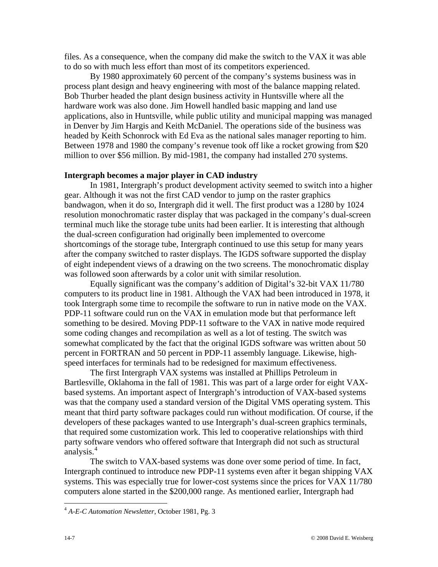files. As a consequence, when the company did make the switch to the VAX it was able to do so with much less effort than most of its competitors experienced.

By 1980 approximately 60 percent of the company's systems business was in process plant design and heavy engineering with most of the balance mapping related. Bob Thurber headed the plant design business activity in Huntsville where all the hardware work was also done. Jim Howell handled basic mapping and land use applications, also in Huntsville, while public utility and municipal mapping was managed in Denver by Jim Hargis and Keith McDaniel. The operations side of the business was headed by Keith Schonrock with Ed Eva as the national sales manager reporting to him. Between 1978 and 1980 the company's revenue took off like a rocket growing from \$20 million to over \$56 million. By mid-1981, the company had installed 270 systems.

# **Intergraph becomes a major player in CAD industry**

In 1981, Intergraph's product development activity seemed to switch into a higher gear. Although it was not the first CAD vendor to jump on the raster graphics bandwagon, when it do so, Intergraph did it well. The first product was a 1280 by 1024 resolution monochromatic raster display that was packaged in the company's dual-screen terminal much like the storage tube units had been earlier. It is interesting that although the dual-screen configuration had originally been implemented to overcome shortcomings of the storage tube, Intergraph continued to use this setup for many years after the company switched to raster displays. The IGDS software supported the display of eight independent views of a drawing on the two screens. The monochromatic display was followed soon afterwards by a color unit with similar resolution.

Equally significant was the company's addition of Digital's 32-bit VAX 11/780 computers to its product line in 1981. Although the VAX had been introduced in 1978, it took Intergraph some time to recompile the software to run in native mode on the VAX. PDP-11 software could run on the VAX in emulation mode but that performance left something to be desired. Moving PDP-11 software to the VAX in native mode required some coding changes and recompilation as well as a lot of testing. The switch was somewhat complicated by the fact that the original IGDS software was written about 50 percent in FORTRAN and 50 percent in PDP-11 assembly language. Likewise, highspeed interfaces for terminals had to be redesigned for maximum effectiveness.

The first Intergraph VAX systems was installed at Phillips Petroleum in Bartlesville, Oklahoma in the fall of 1981. This was part of a large order for eight VAXbased systems. An important aspect of Intergraph's introduction of VAX-based systems was that the company used a standard version of the Digital VMS operating system. This meant that third party software packages could run without modification. Of course, if the developers of these packages wanted to use Intergraph's dual-screen graphics terminals, that required some customization work. This led to cooperative relationships with third party software vendors who offered software that Intergraph did not such as structural analysis.<sup>[4](#page-6-0)</sup>

The switch to VAX-based systems was done over some period of time. In fact, Intergraph continued to introduce new PDP-11 systems even after it began shipping VAX systems. This was especially true for lower-cost systems since the prices for VAX 11/780 computers alone started in the \$200,000 range. As mentioned earlier, Intergraph had

<span id="page-6-0"></span><sup>4</sup> *A-E-C Automation Newsletter*, October 1981, Pg. 3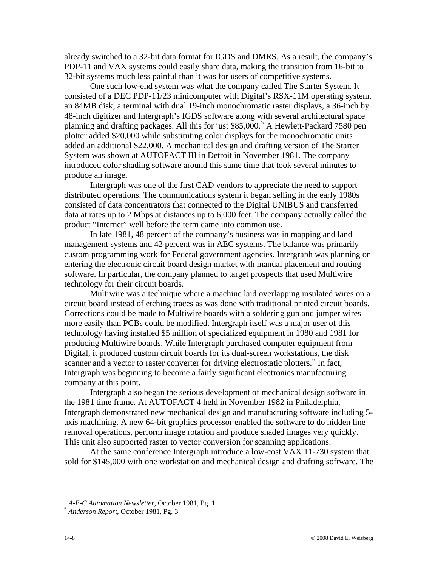already switched to a 32-bit data format for IGDS and DMRS. As a result, the company's PDP-11 and VAX systems could easily share data, making the transition from 16-bit to 32-bit systems much less painful than it was for users of competitive systems.

One such low-end system was what the company called The Starter System. It consisted of a DEC PDP-11/23 minicomputer with Digital's RSX-11M operating system, an 84MB disk, a terminal with dual 19-inch monochromatic raster displays, a 36-inch by 48-inch digitizer and Intergraph's IGDS software along with several architectural space planning and drafting packages. All this for just \$8[5](#page-7-0),000.<sup>5</sup> A Hewlett-Packard 7580 pen plotter added \$20,000 while substituting color displays for the monochromatic units added an additional \$22,000. A mechanical design and drafting version of The Starter System was shown at AUTOFACT III in Detroit in November 1981. The company introduced color shading software around this same time that took several minutes to produce an image.

Intergraph was one of the first CAD vendors to appreciate the need to support distributed operations. The communications system it began selling in the early 1980s consisted of data concentrators that connected to the Digital UNIBUS and transferred data at rates up to 2 Mbps at distances up to 6,000 feet. The company actually called the product "Internet" well before the term came into common use.

In late 1981, 48 percent of the company's business was in mapping and land management systems and 42 percent was in AEC systems. The balance was primarily custom programming work for Federal government agencies. Intergraph was planning on entering the electronic circuit board design market with manual placement and routing software. In particular, the company planned to target prospects that used Multiwire technology for their circuit boards.

Multiwire was a technique where a machine laid overlapping insulated wires on a circuit board instead of etching traces as was done with traditional printed circuit boards. Corrections could be made to Multiwire boards with a soldering gun and jumper wires more easily than PCBs could be modified. Intergraph itself was a major user of this technology having installed \$5 million of specialized equipment in 1980 and 1981 for producing Multiwire boards. While Intergraph purchased computer equipment from Digital, it produced custom circuit boards for its dual-screen workstations, the disk scanner and a vector to raster converter for driving electrostatic plotters.<sup>[6](#page-7-1)</sup> In fact, Intergraph was beginning to become a fairly significant electronics manufacturing company at this point.

Intergraph also began the serious development of mechanical design software in the 1981 time frame. At AUTOFACT 4 held in November 1982 in Philadelphia, Intergraph demonstrated new mechanical design and manufacturing software including 5 axis machining. A new 64-bit graphics processor enabled the software to do hidden line removal operations, perform image rotation and produce shaded images very quickly. This unit also supported raster to vector conversion for scanning applications.

At the same conference Intergraph introduce a low-cost VAX 11-730 system that sold for \$145,000 with one workstation and mechanical design and drafting software. The

<span id="page-7-0"></span><sup>5</sup> *A-E-C Automation Newsletter*, October 1981, Pg. 1 6 *Anderson Report*, October 1981, Pg. 3

<span id="page-7-1"></span>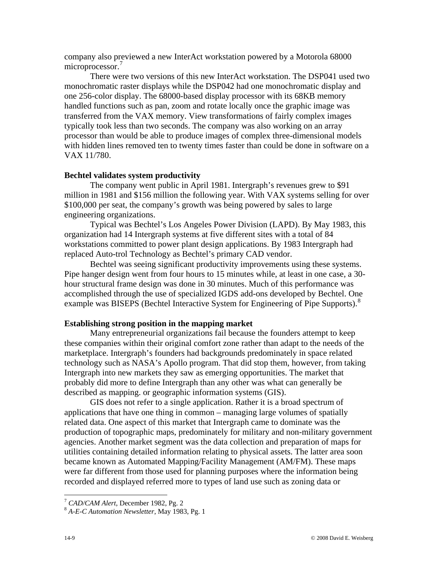company also previewed a new InterAct workstation powered by a Motorola 68000 microprocessor.<sup>[7](#page-8-0)</sup>

There were two versions of this new InterAct workstation. The DSP041 used two monochromatic raster displays while the DSP042 had one monochromatic display and one 256-color display. The 68000-based display processor with its 68KB memory handled functions such as pan, zoom and rotate locally once the graphic image was transferred from the VAX memory. View transformations of fairly complex images typically took less than two seconds. The company was also working on an array processor than would be able to produce images of complex three-dimensional models with hidden lines removed ten to twenty times faster than could be done in software on a VAX 11/780.

# **Bechtel validates system productivity**

The company went public in April 1981. Intergraph's revenues grew to \$91 million in 1981 and \$156 million the following year. With VAX systems selling for over \$100,000 per seat, the company's growth was being powered by sales to large engineering organizations.

Typical was Bechtel's Los Angeles Power Division (LAPD). By May 1983, this organization had 14 Intergraph systems at five different sites with a total of 84 workstations committed to power plant design applications. By 1983 Intergraph had replaced Auto-trol Technology as Bechtel's primary CAD vendor.

Bechtel was seeing significant productivity improvements using these systems. Pipe hanger design went from four hours to 15 minutes while, at least in one case, a 30 hour structural frame design was done in 30 minutes. Much of this performance was accomplished through the use of specialized IGDS add-ons developed by Bechtel. One example was BISEPS (Bechtel Interactive System for Engineering of Pipe Supports).<sup>[8](#page-8-1)</sup>

### **Establishing strong position in the mapping market**

Many entrepreneurial organizations fail because the founders attempt to keep these companies within their original comfort zone rather than adapt to the needs of the marketplace. Intergraph's founders had backgrounds predominately in space related technology such as NASA's Apollo program. That did stop them, however, from taking Intergraph into new markets they saw as emerging opportunities. The market that probably did more to define Intergraph than any other was what can generally be described as mapping. or geographic information systems (GIS).

GIS does not refer to a single application. Rather it is a broad spectrum of applications that have one thing in common – managing large volumes of spatially related data. One aspect of this market that Intergraph came to dominate was the production of topographic maps, predominately for military and non-military government agencies. Another market segment was the data collection and preparation of maps for utilities containing detailed information relating to physical assets. The latter area soon became known as Automated Mapping/Facility Management (AM/FM). These maps were far different from those used for planning purposes where the information being recorded and displayed referred more to types of land use such as zoning data or

1

<span id="page-8-1"></span><span id="page-8-0"></span>

<sup>&</sup>lt;sup>7</sup> *CAD/CAM Alert*, December 1982, Pg. 2<br><sup>8</sup> A-E-C Automation Newsletter, May 1983, Pg. 1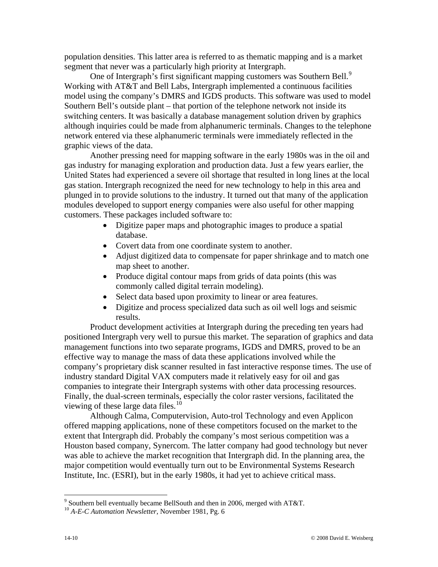population densities. This latter area is referred to as thematic mapping and is a market segment that never was a particularly high priority at Intergraph.

One of Intergraph's first significant mapping customers was Southern Bell.<sup>[9](#page-9-0)</sup> Working with AT&T and Bell Labs, Intergraph implemented a continuous facilities model using the company's DMRS and IGDS products. This software was used to model Southern Bell's outside plant – that portion of the telephone network not inside its switching centers. It was basically a database management solution driven by graphics although inquiries could be made from alphanumeric terminals. Changes to the telephone network entered via these alphanumeric terminals were immediately reflected in the graphic views of the data.

Another pressing need for mapping software in the early 1980s was in the oil and gas industry for managing exploration and production data. Just a few years earlier, the United States had experienced a severe oil shortage that resulted in long lines at the local gas station. Intergraph recognized the need for new technology to help in this area and plunged in to provide solutions to the industry. It turned out that many of the application modules developed to support energy companies were also useful for other mapping customers. These packages included software to:

- Digitize paper maps and photographic images to produce a spatial database.
- Covert data from one coordinate system to another.
- Adjust digitized data to compensate for paper shrinkage and to match one map sheet to another.
- Produce digital contour maps from grids of data points (this was commonly called digital terrain modeling).
- Select data based upon proximity to linear or area features.
- Digitize and process specialized data such as oil well logs and seismic results.

Product development activities at Intergraph during the preceding ten years had positioned Intergraph very well to pursue this market. The separation of graphics and data management functions into two separate programs, IGDS and DMRS, proved to be an effective way to manage the mass of data these applications involved while the company's proprietary disk scanner resulted in fast interactive response times. The use of industry standard Digital VAX computers made it relatively easy for oil and gas companies to integrate their Intergraph systems with other data processing resources. Finally, the dual-screen terminals, especially the color raster versions, facilitated the viewing of these large data files.<sup>[10](#page-9-1)</sup>

Although Calma, Computervision, Auto-trol Technology and even Applicon offered mapping applications, none of these competitors focused on the market to the extent that Intergraph did. Probably the company's most serious competition was a Houston based company, Synercom. The latter company had good technology but never was able to achieve the market recognition that Intergraph did. In the planning area, the major competition would eventually turn out to be Environmental Systems Research Institute, Inc. (ESRI), but in the early 1980s, it had yet to achieve critical mass.

<sup>&</sup>lt;sup>9</sup> Southern bell eventually became BellSouth and then in 2006, merged with AT&T.

<span id="page-9-1"></span><span id="page-9-0"></span><sup>10</sup> *A-E-C Automation Newsletter*, November 1981, Pg. 6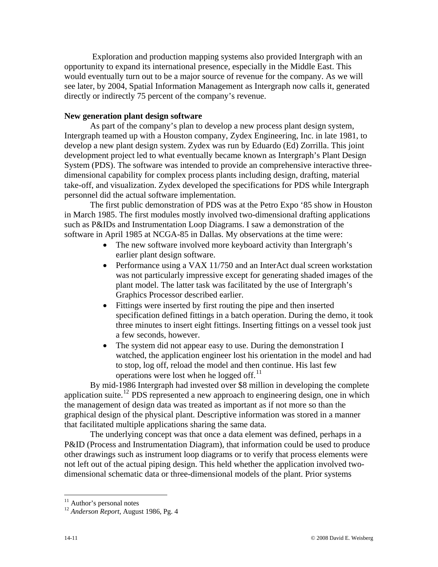Exploration and production mapping systems also provided Intergraph with an opportunity to expand its international presence, especially in the Middle East. This would eventually turn out to be a major source of revenue for the company. As we will see later, by 2004, Spatial Information Management as Intergraph now calls it, generated directly or indirectly 75 percent of the company's revenue.

# **New generation plant design software**

As part of the company's plan to develop a new process plant design system, Intergraph teamed up with a Houston company, Zydex Engineering, Inc. in late 1981, to develop a new plant design system. Zydex was run by Eduardo (Ed) Zorrilla. This joint development project led to what eventually became known as Intergraph's Plant Design System (PDS). The software was intended to provide an comprehensive interactive threedimensional capability for complex process plants including design, drafting, material take-off, and visualization. Zydex developed the specifications for PDS while Intergraph personnel did the actual software implementation.

The first public demonstration of PDS was at the Petro Expo '85 show in Houston in March 1985. The first modules mostly involved two-dimensional drafting applications such as P&IDs and Instrumentation Loop Diagrams. I saw a demonstration of the software in April 1985 at NCGA-85 in Dallas. My observations at the time were:

- The new software involved more keyboard activity than Intergraph's earlier plant design software.
- Performance using a VAX 11/750 and an InterAct dual screen workstation was not particularly impressive except for generating shaded images of the plant model. The latter task was facilitated by the use of Intergraph's Graphics Processor described earlier.
- Fittings were inserted by first routing the pipe and then inserted specification defined fittings in a batch operation. During the demo, it took three minutes to insert eight fittings. Inserting fittings on a vessel took just a few seconds, however.
- The system did not appear easy to use. During the demonstration I watched, the application engineer lost his orientation in the model and had to stop, log off, reload the model and then continue. His last few operations were lost when he logged off. $^{11}$  $^{11}$  $^{11}$

By mid-1986 Intergraph had invested over \$8 million in developing the complete application suite.<sup>[12](#page-10-1)</sup> PDS represented a new approach to engineering design, one in which the management of design data was treated as important as if not more so than the graphical design of the physical plant. Descriptive information was stored in a manner that facilitated multiple applications sharing the same data.

The underlying concept was that once a data element was defined, perhaps in a P&ID (Process and Instrumentation Diagram), that information could be used to produce other drawings such as instrument loop diagrams or to verify that process elements were not left out of the actual piping design. This held whether the application involved twodimensional schematic data or three-dimensional models of the plant. Prior systems

<sup>&</sup>lt;sup>11</sup> Author's personal notes

<span id="page-10-1"></span><span id="page-10-0"></span><sup>12</sup> *Anderson Report*, August 1986, Pg. 4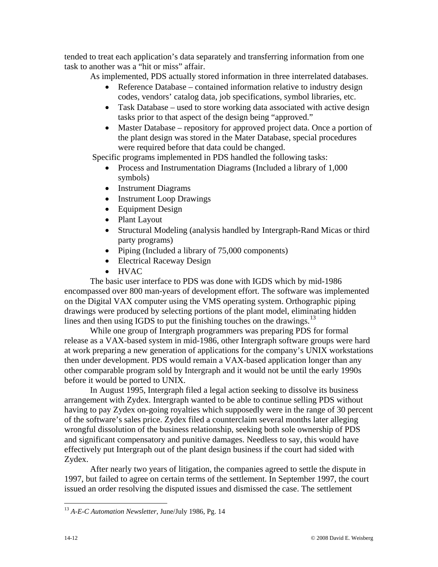tended to treat each application's data separately and transferring information from one task to another was a "hit or miss" affair.

As implemented, PDS actually stored information in three interrelated databases.

- Reference Database contained information relative to industry design codes, vendors' catalog data, job specifications, symbol libraries, etc.
- Task Database used to store working data associated with active design tasks prior to that aspect of the design being "approved."
- Master Database repository for approved project data. Once a portion of the plant design was stored in the Mater Database, special procedures were required before that data could be changed.

Specific programs implemented in PDS handled the following tasks:

- Process and Instrumentation Diagrams (Included a library of 1,000 symbols)
- Instrument Diagrams
- Instrument Loop Drawings
- Equipment Design
- Plant Layout
- Structural Modeling (analysis handled by Intergraph-Rand Micas or third party programs)
- Piping (Included a library of 75,000 components)
- Electrical Raceway Design
- HVAC

The basic user interface to PDS was done with IGDS which by mid-1986 encompassed over 800 man-years of development effort. The software was implemented on the Digital VAX computer using the VMS operating system. Orthographic piping drawings were produced by selecting portions of the plant model, eliminating hidden lines and then using IGDS to put the finishing touches on the drawings.<sup>[13](#page-11-0)</sup>

While one group of Intergraph programmers was preparing PDS for formal release as a VAX-based system in mid-1986, other Intergraph software groups were hard at work preparing a new generation of applications for the company's UNIX workstations then under development. PDS would remain a VAX-based application longer than any other comparable program sold by Intergraph and it would not be until the early 1990s before it would be ported to UNIX.

In August 1995, Intergraph filed a legal action seeking to dissolve its business arrangement with Zydex. Intergraph wanted to be able to continue selling PDS without having to pay Zydex on-going royalties which supposedly were in the range of 30 percent of the software's sales price. Zydex filed a counterclaim several months later alleging wrongful dissolution of the business relationship, seeking both sole ownership of PDS and significant compensatory and punitive damages. Needless to say, this would have effectively put Intergraph out of the plant design business if the court had sided with Zydex.

After nearly two years of litigation, the companies agreed to settle the dispute in 1997, but failed to agree on certain terms of the settlement. In September 1997, the court issued an order resolving the disputed issues and dismissed the case. The settlement

<span id="page-11-0"></span> $\overline{a}$ <sup>13</sup> *A-E-C Automation Newsletter*, June/July 1986, Pg. 14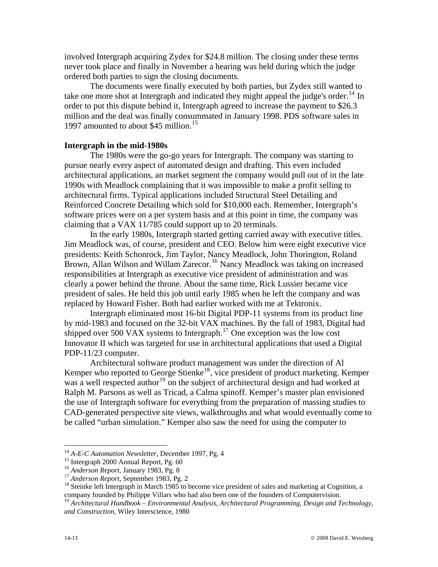involved Intergraph acquiring Zydex for \$24.8 million. The closing under these terms never took place and finally in November a hearing was held during which the judge ordered both parties to sign the closing documents.

The documents were finally executed by both parties, but Zydex still wanted to take one more shot at Intergraph and indicated they might appeal the judge's order.<sup>[14](#page-12-0)</sup> In order to put this dispute behind it, Intergraph agreed to increase the payment to \$26.3 million and the deal was finally consummated in January 1998. PDS software sales in 1997 amounted to about \$45 million.<sup>[15](#page-12-1)</sup>

# **Intergraph in the mid-1980s**

The 1980s were the go-go years for Intergraph. The company was starting to pursue nearly every aspect of automated design and drafting. This even included architectural applications, an market segment the company would pull out of in the late 1990s with Meadlock complaining that it was impossible to make a profit selling to architectural firms. Typical applications included Structural Steel Detailing and Reinforced Concrete Detailing which sold for \$10,000 each. Remember, Intergraph's software prices were on a per system basis and at this point in time, the company was claiming that a VAX 11/785 could support up to 20 terminals.

In the early 1980s, Intergraph started getting carried away with executive titles. Jim Meadlock was, of course, president and CEO. Below him were eight executive vice presidents: Keith Schonrock, Jim Taylor, Nancy Meadlock, John Thorington, Roland Brown, Allan Wilson and Willam Zarecor.<sup>[16](#page-12-2)</sup> Nancy Meadlock was taking on increased responsibilities at Intergraph as executive vice president of administration and was clearly a power behind the throne. About the same time, Rick Lussier became vice president of sales. He held this job until early 1985 when he left the company and was replaced by Howard Fisher. Both had earlier worked with me at Tektronix.

Intergraph eliminated most 16-bit Digital PDP-11 systems from its product line by mid-1983 and focused on the 32-bit VAX machines. By the fall of 1983, Digital had shipped over 500 VAX systems to Intergraph.<sup>[17](#page-12-3)</sup> One exception was the low cost Innovator II which was targeted for use in architectural applications that used a Digital PDP-11/23 computer.

Architectural software product management was under the direction of Al Kemper who reported to George Stienke<sup>[18](#page-12-4)</sup>, vice president of product marketing. Kemper was a well respected author<sup>[19](#page-12-5)</sup> on the subject of architectural design and had worked at Ralph M. Parsons as well as Tricad, a Calma spinoff. Kemper's master plan envisioned the use of Intergraph software for everything from the preparation of massing studies to CAD-generated perspective site views, walkthroughs and what would eventually come to be called "urban simulation." Kemper also saw the need for using the computer to

<span id="page-12-2"></span>

<span id="page-12-4"></span><span id="page-12-3"></span>

<span id="page-12-1"></span><span id="page-12-0"></span><sup>&</sup>lt;sup>14</sup> A-E-C Automation Newsletter, December 1997, Pg. 4<br>
<sup>15</sup> Intergraph 2000 Annual Report, Pg. 60<br>
<sup>16</sup> Anderson Report, January 1983, Pg. 8<br>
<sup>17</sup> Anderson Report, September 1983, Pg. 2<br>
<sup>18</sup> Steinke left Intergraph in M company founded by Philippe Villars who had also been one of the founders of Computervision.

<span id="page-12-5"></span><sup>19</sup> *Architectural Handbook – Environmental Analysis, Architectural Programming, Design and Technology, and Construction*, Wiley Interscience, 1980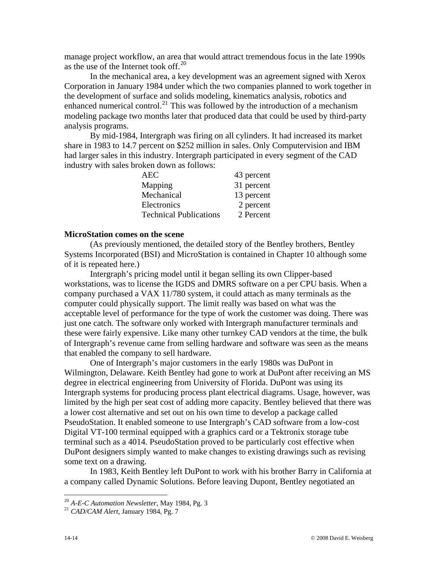manage project workflow, an area that would attract tremendous focus in the late 1990s as the use of the Internet took off. $20$ 

In the mechanical area, a key development was an agreement signed with Xerox Corporation in January 1984 under which the two companies planned to work together in the development of surface and solids modeling, kinematics analysis, robotics and enhanced numerical control.<sup>[21](#page-13-1)</sup> This was followed by the introduction of a mechanism modeling package two months later that produced data that could be used by third-party analysis programs.

By mid-1984, Intergraph was firing on all cylinders. It had increased its market share in 1983 to 14.7 percent on \$252 million in sales. Only Computervision and IBM had larger sales in this industry. Intergraph participated in every segment of the CAD industry with sales broken down as follows:

| AEC                           | 43 percent |
|-------------------------------|------------|
| Mapping                       | 31 percent |
| Mechanical                    | 13 percent |
| Electronics                   | 2 percent  |
| <b>Technical Publications</b> | 2 Percent  |

# **MicroStation comes on the scene**

(As previously mentioned, the detailed story of the Bentley brothers, Bentley Systems Incorporated (BSI) and MicroStation is contained in Chapter 10 although some of it is repeated here.)

Intergraph's pricing model until it began selling its own Clipper-based workstations, was to license the IGDS and DMRS software on a per CPU basis. When a company purchased a VAX 11/780 system, it could attach as many terminals as the computer could physically support. The limit really was based on what was the acceptable level of performance for the type of work the customer was doing. There was just one catch. The software only worked with Intergraph manufacturer terminals and these were fairly expensive. Like many other turnkey CAD vendors at the time, the bulk of Intergraph's revenue came from selling hardware and software was seen as the means that enabled the company to sell hardware.

One of Intergraph's major customers in the early 1980s was DuPont in Wilmington, Delaware. Keith Bentley had gone to work at DuPont after receiving an MS degree in electrical engineering from University of Florida. DuPont was using its Intergraph systems for producing process plant electrical diagrams. Usage, however, was limited by the high per seat cost of adding more capacity. Bentley believed that there was a lower cost alternative and set out on his own time to develop a package called PseudoStation. It enabled someone to use Intergraph's CAD software from a low-cost Digital VT-100 terminal equipped with a graphics card or a Tektronix storage tube terminal such as a 4014. PseudoStation proved to be particularly cost effective when DuPont designers simply wanted to make changes to existing drawings such as revising some text on a drawing.

In 1983, Keith Bentley left DuPont to work with his brother Barry in California at a company called Dynamic Solutions. Before leaving Dupont, Bentley negotiated an

<span id="page-13-0"></span><sup>20</sup> *A-E-C Automation Newsletter*, May 1984, Pg. 3 21 *CAD/CAM Alert*, January 1984, Pg. 7

<span id="page-13-1"></span>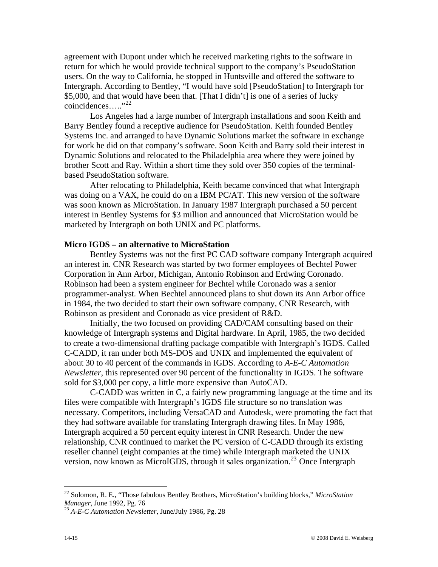agreement with Dupont under which he received marketing rights to the software in return for which he would provide technical support to the company's PseudoStation users. On the way to California, he stopped in Huntsville and offered the software to Intergraph. According to Bentley, "I would have sold [PseudoStation] to Intergraph for \$5,000, and that would have been that. [That I didn't] is one of a series of lucky coincidences….."[22](#page-14-0)

Los Angeles had a large number of Intergraph installations and soon Keith and Barry Bentley found a receptive audience for PseudoStation. Keith founded Bentley Systems Inc. and arranged to have Dynamic Solutions market the software in exchange for work he did on that company's software. Soon Keith and Barry sold their interest in Dynamic Solutions and relocated to the Philadelphia area where they were joined by brother Scott and Ray. Within a short time they sold over 350 copies of the terminalbased PseudoStation software.

After relocating to Philadelphia, Keith became convinced that what Intergraph was doing on a VAX, he could do on a IBM PC/AT. This new version of the software was soon known as MicroStation. In January 1987 Intergraph purchased a 50 percent interest in Bentley Systems for \$3 million and announced that MicroStation would be marketed by Intergraph on both UNIX and PC platforms.

# **Micro IGDS – an alternative to MicroStation**

Bentley Systems was not the first PC CAD software company Intergraph acquired an interest in. CNR Research was started by two former employees of Bechtel Power Corporation in Ann Arbor, Michigan, Antonio Robinson and Erdwing Coronado. Robinson had been a system engineer for Bechtel while Coronado was a senior programmer-analyst. When Bechtel announced plans to shut down its Ann Arbor office in 1984, the two decided to start their own software company, CNR Research, with Robinson as president and Coronado as vice president of R&D.

Initially, the two focused on providing CAD/CAM consulting based on their knowledge of Intergraph systems and Digital hardware. In April, 1985, the two decided to create a two-dimensional drafting package compatible with Intergraph's IGDS. Called C-CADD, it ran under both MS-DOS and UNIX and implemented the equivalent of about 30 to 40 percent of the commands in IGDS. According to *A-E-C Automation Newsletter*, this represented over 90 percent of the functionality in IGDS. The software sold for \$3,000 per copy, a little more expensive than AutoCAD.

C-CADD was written in C, a fairly new programming language at the time and its files were compatible with Intergraph's IGDS file structure so no translation was necessary. Competitors, including VersaCAD and Autodesk, were promoting the fact that they had software available for translating Intergraph drawing files. In May 1986, Intergraph acquired a 50 percent equity interest in CNR Research. Under the new relationship, CNR continued to market the PC version of C-CADD through its existing reseller channel (eight companies at the time) while Intergraph marketed the UNIX version, now known as MicroIGDS, through it sales organization.<sup>[23](#page-14-1)</sup> Once Intergraph

<span id="page-14-0"></span><sup>22</sup> Solomon, R. E., "Those fabulous Bentley Brothers, MicroStation's building blocks," *MicroStation* 

<span id="page-14-1"></span><sup>&</sup>lt;sup>23</sup> A-E-C Automation Newsletter, June/July 1986, Pg. 28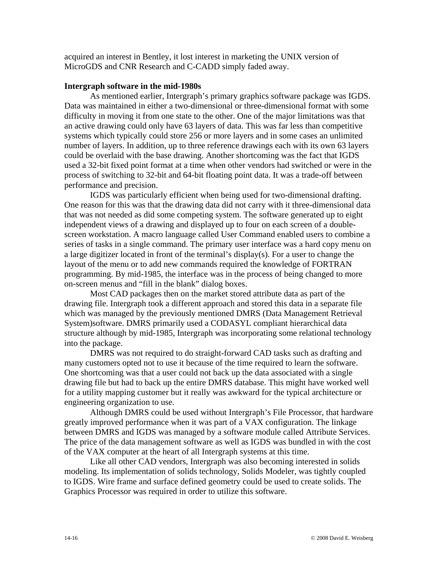acquired an interest in Bentley, it lost interest in marketing the UNIX version of MicroGDS and CNR Research and C-CADD simply faded away.

# **Intergraph software in the mid-1980s**

As mentioned earlier, Intergraph's primary graphics software package was IGDS. Data was maintained in either a two-dimensional or three-dimensional format with some difficulty in moving it from one state to the other. One of the major limitations was that an active drawing could only have 63 layers of data. This was far less than competitive systems which typically could store 256 or more layers and in some cases an unlimited number of layers. In addition, up to three reference drawings each with its own 63 layers could be overlaid with the base drawing. Another shortcoming was the fact that IGDS used a 32-bit fixed point format at a time when other vendors had switched or were in the process of switching to 32-bit and 64-bit floating point data. It was a trade-off between performance and precision.

IGDS was particularly efficient when being used for two-dimensional drafting. One reason for this was that the drawing data did not carry with it three-dimensional data that was not needed as did some competing system. The software generated up to eight independent views of a drawing and displayed up to four on each screen of a doublescreen workstation. A macro language called User Command enabled users to combine a series of tasks in a single command. The primary user interface was a hard copy menu on a large digitizer located in front of the terminal's display(s). For a user to change the layout of the menu or to add new commands required the knowledge of FORTRAN programming. By mid-1985, the interface was in the process of being changed to more on-screen menus and "fill in the blank" dialog boxes.

Most CAD packages then on the market stored attribute data as part of the drawing file. Intergraph took a different approach and stored this data in a separate file which was managed by the previously mentioned DMRS (Data Management Retrieval System)software. DMRS primarily used a CODASYL compliant hierarchical data structure although by mid-1985, Intergraph was incorporating some relational technology into the package.

DMRS was not required to do straight-forward CAD tasks such as drafting and many customers opted not to use it because of the time required to learn the software. One shortcoming was that a user could not back up the data associated with a single drawing file but had to back up the entire DMRS database. This might have worked well for a utility mapping customer but it really was awkward for the typical architecture or engineering organization to use.

Although DMRS could be used without Intergraph's File Processor, that hardware greatly improved performance when it was part of a VAX configuration. The linkage between DMRS and IGDS was managed by a software module called Attribute Services. The price of the data management software as well as IGDS was bundled in with the cost of the VAX computer at the heart of all Intergraph systems at this time.

Like all other CAD vendors, Intergraph was also becoming interested in solids modeling. Its implementation of solids technology, Solids Modeler, was tightly coupled to IGDS. Wire frame and surface defined geometry could be used to create solids. The Graphics Processor was required in order to utilize this software.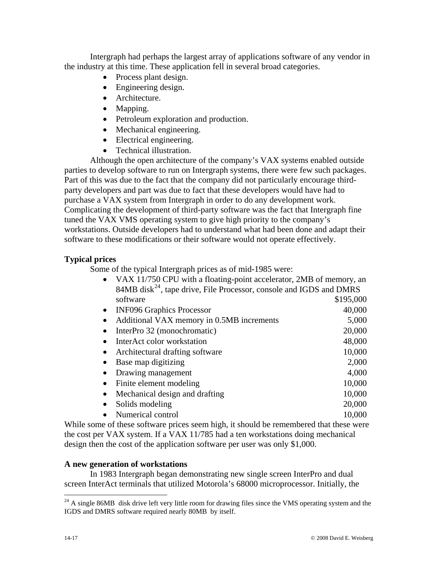Intergraph had perhaps the largest array of applications software of any vendor in the industry at this time. These application fell in several broad categories.

- Process plant design.
- Engineering design.
- Architecture.
- Mapping.
- Petroleum exploration and production.
- Mechanical engineering.
- Electrical engineering.
- Technical illustration.

Although the open architecture of the company's VAX systems enabled outside parties to develop software to run on Intergraph systems, there were few such packages. Part of this was due to the fact that the company did not particularly encourage thirdparty developers and part was due to fact that these developers would have had to purchase a VAX system from Intergraph in order to do any development work. Complicating the development of third-party software was the fact that Intergraph fine tuned the VAX VMS operating system to give high priority to the company's workstations. Outside developers had to understand what had been done and adapt their software to these modifications or their software would not operate effectively.

# **Typical prices**

Some of the typical Intergraph prices as of mid-1985 were:

| VAX 11/750 CPU with a floating-point accelerator, 2MB of memory, an             |                                                                  |
|---------------------------------------------------------------------------------|------------------------------------------------------------------|
| 84MB disk <sup>24</sup> , tape drive, File Processor, console and IGDS and DMRS |                                                                  |
| software                                                                        | \$195,000                                                        |
| <b>INF096 Graphics Processor</b>                                                | 40,000                                                           |
| Additional VAX memory in 0.5MB increments<br>$\bullet$                          | 5,000                                                            |
| InterPro 32 (monochromatic)                                                     | 20,000                                                           |
| InterAct color workstation                                                      | 48,000                                                           |
| Architectural drafting software<br>$\bullet$                                    | 10,000                                                           |
| Base map digitizing                                                             | 2,000                                                            |
| Drawing management                                                              | 4,000                                                            |
| Finite element modeling                                                         | 10,000                                                           |
| Mechanical design and drafting                                                  | 10,000                                                           |
| Solids modeling<br>$\bullet$                                                    | 20,000                                                           |
| Numerical control                                                               | 10,000                                                           |
|                                                                                 | $\mathbf{1}$ $\mathbf{1}$ $\mathbf{1}$ $\mathbf{1}$ $\mathbf{1}$ |

While some of these software prices seem high, it should be remembered that these were the cost per VAX system. If a VAX 11/785 had a ten workstations doing mechanical design then the cost of the application software per user was only \$1,000.

# **A new generation of workstations**

In 1983 Intergraph began demonstrating new single screen InterPro and dual screen InterAct terminals that utilized Motorola's 68000 microprocessor. Initially, the

<span id="page-16-0"></span> $24$  A single 86MB disk drive left very little room for drawing files since the VMS operating system and the IGDS and DMRS software required nearly 80MB by itself.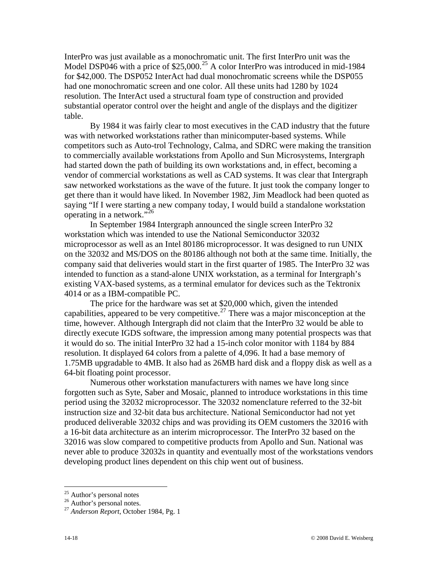InterPro was just available as a monochromatic unit. The first InterPro unit was the Model DSP046 with a price of  $$25,000.<sup>25</sup>$  $$25,000.<sup>25</sup>$  $$25,000.<sup>25</sup>$  A color InterPro was introduced in mid-1984 for \$42,000. The DSP052 InterAct had dual monochromatic screens while the DSP055 had one monochromatic screen and one color. All these units had 1280 by 1024 resolution. The InterAct used a structural foam type of construction and provided substantial operator control over the height and angle of the displays and the digitizer table.

By 1984 it was fairly clear to most executives in the CAD industry that the future was with networked workstations rather than minicomputer-based systems. While competitors such as Auto-trol Technology, Calma, and SDRC were making the transition to commercially available workstations from Apollo and Sun Microsystems, Intergraph had started down the path of building its own workstations and, in effect, becoming a vendor of commercial workstations as well as CAD systems. It was clear that Intergraph saw networked workstations as the wave of the future. It just took the company longer to get there than it would have liked. In November 1982, Jim Meadlock had been quoted as saying "If I were starting a new company today, I would build a standalone workstation operating in a network."[26](#page-17-1)

In September 1984 Intergraph announced the single screen InterPro 32 workstation which was intended to use the National Semiconductor 32032 microprocessor as well as an Intel 80186 microprocessor. It was designed to run UNIX on the 32032 and MS/DOS on the 80186 although not both at the same time. Initially, the company said that deliveries would start in the first quarter of 1985. The InterPro 32 was intended to function as a stand-alone UNIX workstation, as a terminal for Intergraph's existing VAX-based systems, as a terminal emulator for devices such as the Tektronix 4014 or as a IBM-compatible PC.

The price for the hardware was set at \$20,000 which, given the intended capabilities, appeared to be very competitive.<sup>[27](#page-17-2)</sup> There was a major misconception at the time, however. Although Intergraph did not claim that the InterPro 32 would be able to directly execute IGDS software, the impression among many potential prospects was that it would do so. The initial InterPro 32 had a 15-inch color monitor with 1184 by 884 resolution. It displayed 64 colors from a palette of 4,096. It had a base memory of 1.75MB upgradable to 4MB. It also had as 26MB hard disk and a floppy disk as well as a 64-bit floating point processor.

Numerous other workstation manufacturers with names we have long since forgotten such as Syte, Saber and Mosaic, planned to introduce workstations in this time period using the 32032 microprocessor. The 32032 nomenclature referred to the 32-bit instruction size and 32-bit data bus architecture. National Semiconductor had not yet produced deliverable 32032 chips and was providing its OEM customers the 32016 with a 16-bit data architecture as an interim microprocessor. The InterPro 32 based on the 32016 was slow compared to competitive products from Apollo and Sun. National was never able to produce 32032s in quantity and eventually most of the workstations vendors developing product lines dependent on this chip went out of business.

<span id="page-17-0"></span><sup>25</sup> Author's personal notes

<span id="page-17-1"></span><sup>&</sup>lt;sup>26</sup> Author's personal notes.

<span id="page-17-2"></span><sup>27</sup> *Anderson Report*, October 1984, Pg. 1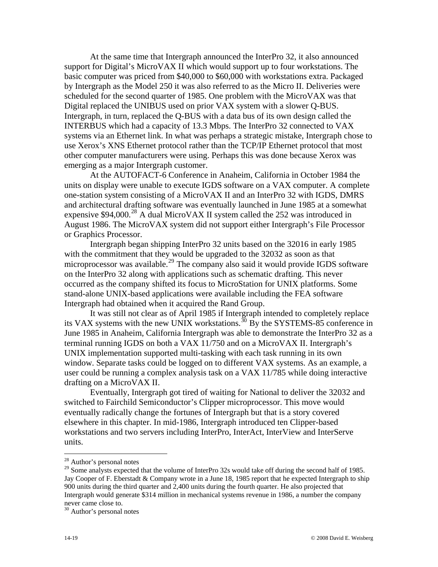At the same time that Intergraph announced the InterPro 32, it also announced support for Digital's MicroVAX II which would support up to four workstations. The basic computer was priced from \$40,000 to \$60,000 with workstations extra. Packaged by Intergraph as the Model 250 it was also referred to as the Micro II. Deliveries were scheduled for the second quarter of 1985. One problem with the MicroVAX was that Digital replaced the UNIBUS used on prior VAX system with a slower Q-BUS. Intergraph, in turn, replaced the Q-BUS with a data bus of its own design called the INTERBUS which had a capacity of 13.3 Mbps. The InterPro 32 connected to VAX systems via an Ethernet link. In what was perhaps a strategic mistake, Intergraph chose to use Xerox's XNS Ethernet protocol rather than the TCP/IP Ethernet protocol that most other computer manufacturers were using. Perhaps this was done because Xerox was emerging as a major Intergraph customer.

At the AUTOFACT-6 Conference in Anaheim, California in October 1984 the units on display were unable to execute IGDS software on a VAX computer. A complete one-station system consisting of a MicroVAX II and an InterPro 32 with IGDS, DMRS and architectural drafting software was eventually launched in June 1985 at a somewhat expensive \$94,000.<sup>[28](#page-18-0)</sup> A dual MicroVAX II system called the 252 was introduced in August 1986. The MicroVAX system did not support either Intergraph's File Processor or Graphics Processor.

Intergraph began shipping InterPro 32 units based on the 32016 in early 1985 with the commitment that they would be upgraded to the 32032 as soon as that microprocessor was available.<sup>[29](#page-18-1)</sup> The company also said it would provide IGDS software on the InterPro 32 along with applications such as schematic drafting. This never occurred as the company shifted its focus to MicroStation for UNIX platforms. Some stand-alone UNIX-based applications were available including the FEA software Intergraph had obtained when it acquired the Rand Group.

It was still not clear as of April 1985 if Intergraph intended to completely replace its VAX systems with the new UNIX workstations.<sup>[30](#page-18-2)</sup> By the SYSTEMS-85 conference in June 1985 in Anaheim, California Intergraph was able to demonstrate the InterPro 32 as a terminal running IGDS on both a VAX 11/750 and on a MicroVAX II. Intergraph's UNIX implementation supported multi-tasking with each task running in its own window. Separate tasks could be logged on to different VAX systems. As an example, a user could be running a complex analysis task on a VAX 11/785 while doing interactive drafting on a MicroVAX II.

Eventually, Intergraph got tired of waiting for National to deliver the 32032 and switched to Fairchild Semiconductor's Clipper microprocessor. This move would eventually radically change the fortunes of Intergraph but that is a story covered elsewhere in this chapter. In mid-1986, Intergraph introduced ten Clipper-based workstations and two servers including InterPro, InterAct, InterView and InterServe units.

 $28$  Author's personal notes

<span id="page-18-1"></span><span id="page-18-0"></span><sup>&</sup>lt;sup>29</sup> Some analysts expected that the volume of InterPro 32s would take off during the second half of 1985. Jay Cooper of F. Eberstadt & Company wrote in a June 18, 1985 report that he expected Intergraph to ship 900 units during the third quarter and 2,400 units during the fourth quarter. He also projected that Intergraph would generate \$314 million in mechanical systems revenue in 1986, a number the company never came close to.

<span id="page-18-2"></span> $30$  Author's personal notes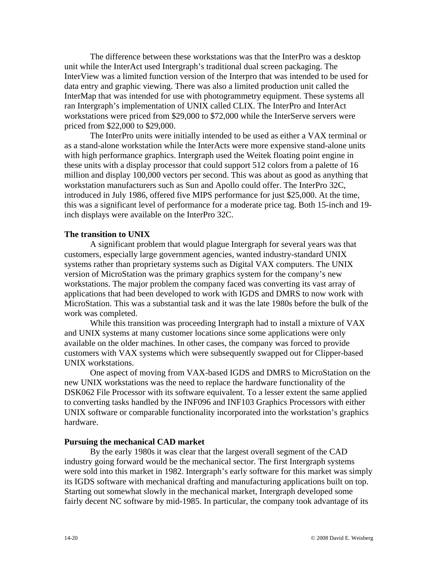The difference between these workstations was that the InterPro was a desktop unit while the InterAct used Intergraph's traditional dual screen packaging. The InterView was a limited function version of the Interpro that was intended to be used for data entry and graphic viewing. There was also a limited production unit called the InterMap that was intended for use with photogrammetry equipment. These systems all ran Intergraph's implementation of UNIX called CLIX. The InterPro and InterAct workstations were priced from \$29,000 to \$72,000 while the InterServe servers were priced from \$22,000 to \$29,000.

The InterPro units were initially intended to be used as either a VAX terminal or as a stand-alone workstation while the InterActs were more expensive stand-alone units with high performance graphics. Intergraph used the Weitek floating point engine in these units with a display processor that could support 512 colors from a palette of 16 million and display 100,000 vectors per second. This was about as good as anything that workstation manufacturers such as Sun and Apollo could offer. The InterPro 32C, introduced in July 1986, offered five MIPS performance for just \$25,000. At the time, this was a significant level of performance for a moderate price tag. Both 15-inch and 19 inch displays were available on the InterPro 32C.

### **The transition to UNIX**

A significant problem that would plague Intergraph for several years was that customers, especially large government agencies, wanted industry-standard UNIX systems rather than proprietary systems such as Digital VAX computers. The UNIX version of MicroStation was the primary graphics system for the company's new workstations. The major problem the company faced was converting its vast array of applications that had been developed to work with IGDS and DMRS to now work with MicroStation. This was a substantial task and it was the late 1980s before the bulk of the work was completed.

While this transition was proceeding Intergraph had to install a mixture of VAX and UNIX systems at many customer locations since some applications were only available on the older machines. In other cases, the company was forced to provide customers with VAX systems which were subsequently swapped out for Clipper-based UNIX workstations.

One aspect of moving from VAX-based IGDS and DMRS to MicroStation on the new UNIX workstations was the need to replace the hardware functionality of the DSK062 File Processor with its software equivalent. To a lesser extent the same applied to converting tasks handled by the INF096 and INF103 Graphics Processors with either UNIX software or comparable functionality incorporated into the workstation's graphics hardware.

# **Pursuing the mechanical CAD market**

By the early 1980s it was clear that the largest overall segment of the CAD industry going forward would be the mechanical sector. The first Intergraph systems were sold into this market in 1982. Intergraph's early software for this market was simply its IGDS software with mechanical drafting and manufacturing applications built on top. Starting out somewhat slowly in the mechanical market, Intergraph developed some fairly decent NC software by mid-1985. In particular, the company took advantage of its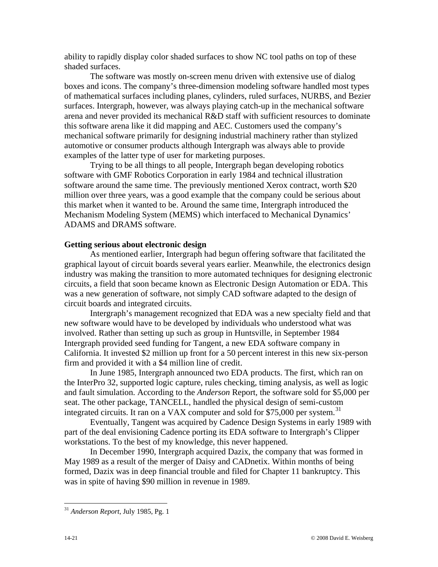ability to rapidly display color shaded surfaces to show NC tool paths on top of these shaded surfaces.

The software was mostly on-screen menu driven with extensive use of dialog boxes and icons. The company's three-dimension modeling software handled most types of mathematical surfaces including planes, cylinders, ruled surfaces, NURBS, and Bezier surfaces. Intergraph, however, was always playing catch-up in the mechanical software arena and never provided its mechanical R&D staff with sufficient resources to dominate this software arena like it did mapping and AEC. Customers used the company's mechanical software primarily for designing industrial machinery rather than stylized automotive or consumer products although Intergraph was always able to provide examples of the latter type of user for marketing purposes.

Trying to be all things to all people, Intergraph began developing robotics software with GMF Robotics Corporation in early 1984 and technical illustration software around the same time. The previously mentioned Xerox contract, worth \$20 million over three years, was a good example that the company could be serious about this market when it wanted to be. Around the same time, Intergraph introduced the Mechanism Modeling System (MEMS) which interfaced to Mechanical Dynamics' ADAMS and DRAMS software.

# **Getting serious about electronic design**

As mentioned earlier, Intergraph had begun offering software that facilitated the graphical layout of circuit boards several years earlier. Meanwhile, the electronics design industry was making the transition to more automated techniques for designing electronic circuits, a field that soon became known as Electronic Design Automation or EDA. This was a new generation of software, not simply CAD software adapted to the design of circuit boards and integrated circuits.

Intergraph's management recognized that EDA was a new specialty field and that new software would have to be developed by individuals who understood what was involved. Rather than setting up such as group in Huntsville, in September 1984 Intergraph provided seed funding for Tangent, a new EDA software company in California. It invested \$2 million up front for a 50 percent interest in this new six-person firm and provided it with a \$4 million line of credit.

In June 1985, Intergraph announced two EDA products. The first, which ran on the InterPro 32, supported logic capture, rules checking, timing analysis, as well as logic and fault simulation. According to the *Anderson* Report, the software sold for \$5,000 per seat. The other package, TANCELL, handled the physical design of semi-custom integrated circuits. It ran on a VAX computer and sold for \$75,000 per system.<sup>[31](#page-20-0)</sup>

Eventually, Tangent was acquired by Cadence Design Systems in early 1989 with part of the deal envisioning Cadence porting its EDA software to Intergraph's Clipper workstations. To the best of my knowledge, this never happened.

In December 1990, Intergraph acquired Dazix, the company that was formed in May 1989 as a result of the merger of Daisy and CADnetix. Within months of being formed, Dazix was in deep financial trouble and filed for Chapter 11 bankruptcy. This was in spite of having \$90 million in revenue in 1989.

<span id="page-20-0"></span><sup>31</sup> *Anderson Report*, July 1985, Pg. 1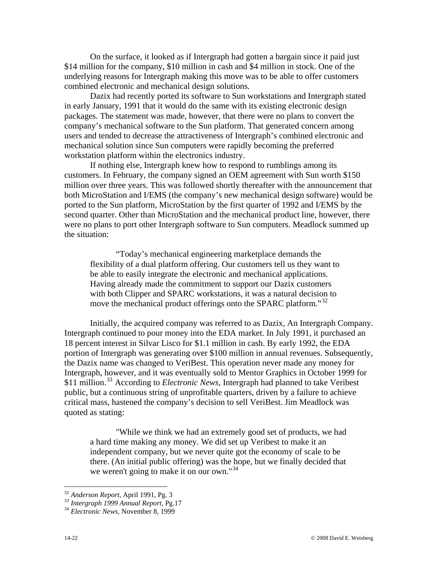On the surface, it looked as if Intergraph had gotten a bargain since it paid just \$14 million for the company, \$10 million in cash and \$4 million in stock. One of the underlying reasons for Intergraph making this move was to be able to offer customers combined electronic and mechanical design solutions.

Dazix had recently ported its software to Sun workstations and Intergraph stated in early January, 1991 that it would do the same with its existing electronic design packages. The statement was made, however, that there were no plans to convert the company's mechanical software to the Sun platform. That generated concern among users and tended to decrease the attractiveness of Intergraph's combined electronic and mechanical solution since Sun computers were rapidly becoming the preferred workstation platform within the electronics industry.

If nothing else, Intergraph knew how to respond to rumblings among its customers. In February, the company signed an OEM agreement with Sun worth \$150 million over three years. This was followed shortly thereafter with the announcement that both MicroStation and I/EMS (the company's new mechanical design software) would be ported to the Sun platform, MicroStation by the first quarter of 1992 and I/EMS by the second quarter. Other than MicroStation and the mechanical product line, however, there were no plans to port other Intergraph software to Sun computers. Meadlock summed up the situation:

"Today's mechanical engineering marketplace demands the flexibility of a dual platform offering. Our customers tell us they want to be able to easily integrate the electronic and mechanical applications. Having already made the commitment to support our Dazix customers with both Clipper and SPARC workstations, it was a natural decision to move the mechanical product offerings onto the SPARC platform."<sup>[32](#page-21-0)</sup>

Initially, the acquired company was referred to as Dazix, An Intergraph Company. Intergraph continued to pour money into the EDA market. In July 1991, it purchased an 18 percent interest in Silvar Lisco for \$1.1 million in cash. By early 1992, the EDA portion of Intergraph was generating over \$100 million in annual revenues. Subsequently, the Dazix name was changed to VeriBest. This operation never made any money for Intergraph, however, and it was eventually sold to Mentor Graphics in October 1999 for \$11 million.<sup>[33](#page-21-1)</sup> According to *Electronic News*, Intergraph had planned to take Veribest public, but a continuous string of unprofitable quarters, driven by a failure to achieve critical mass, hastened the company's decision to sell VeriBest. Jim Meadlock was quoted as stating:

"While we think we had an extremely good set of products, we had a hard time making any money. We did set up Veribest to make it an independent company, but we never quite got the economy of scale to be there. (An initial public offering) was the hope, but we finally decided that we weren't going to make it on our own."<sup>[34](#page-21-2)</sup>

<span id="page-21-1"></span><span id="page-21-0"></span><sup>32</sup> *Anderson Report*, April 1991, Pg. 3 33 *Intergraph 1999 Annual Report*, Pg.17 34 *Electronic News*, November 8, 1999

<span id="page-21-2"></span>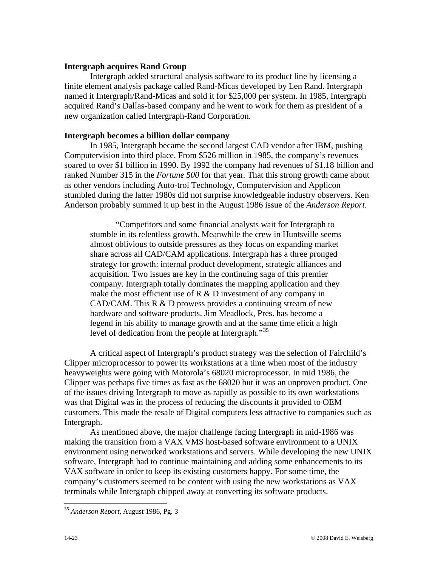# **Intergraph acquires Rand Group**

Intergraph added structural analysis software to its product line by licensing a finite element analysis package called Rand-Micas developed by Len Rand. Intergraph named it Intergraph/Rand-Micas and sold it for \$25,000 per system. In 1985, Intergraph acquired Rand's Dallas-based company and he went to work for them as president of a new organization called Intergraph-Rand Corporation.

# **Intergraph becomes a billion dollar company**

In 1985, Intergraph became the second largest CAD vendor after IBM, pushing Computervision into third place. From \$526 million in 1985, the company's revenues soared to over \$1 billion in 1990. By 1992 the company had revenues of \$1.18 billion and ranked Number 315 in the *Fortune 500* for that year*.* That this strong growth came about as other vendors including Auto-trol Technology, Computervision and Applicon stumbled during the latter 1980s did not surprise knowledgeable industry observers. Ken Anderson probably summed it up best in the August 1986 issue of the *Anderson Report*.

"Competitors and some financial analysts wait for Intergraph to stumble in its relentless growth. Meanwhile the crew in Huntsville seems almost oblivious to outside pressures as they focus on expanding market share across all CAD/CAM applications. Intergraph has a three pronged strategy for growth: internal product development, strategic alliances and acquisition. Two issues are key in the continuing saga of this premier company. Intergraph totally dominates the mapping application and they make the most efficient use of  $R \& D$  investment of any company in CAD/CAM. This R & D prowess provides a continuing stream of new hardware and software products. Jim Meadlock, Pres. has become a legend in his ability to manage growth and at the same time elicit a high level of dedication from the people at Intergraph."<sup>[35](#page-22-0)</sup>

A critical aspect of Intergraph's product strategy was the selection of Fairchild's Clipper microprocessor to power its workstations at a time when most of the industry heavyweights were going with Motorola's 68020 microprocessor. In mid 1986, the Clipper was perhaps five times as fast as the 68020 but it was an unproven product. One of the issues driving Intergraph to move as rapidly as possible to its own workstations was that Digital was in the process of reducing the discounts it provided to OEM customers. This made the resale of Digital computers less attractive to companies such as Intergraph.

As mentioned above, the major challenge facing Intergraph in mid-1986 was making the transition from a VAX VMS host-based software environment to a UNIX environment using networked workstations and servers. While developing the new UNIX software, Intergraph had to continue maintaining and adding some enhancements to its VAX software in order to keep its existing customers happy. For some time, the company's customers seemed to be content with using the new workstations as VAX terminals while Intergraph chipped away at converting its software products.

<span id="page-22-0"></span><sup>35</sup> *Anderson Report*, August 1986, Pg. 3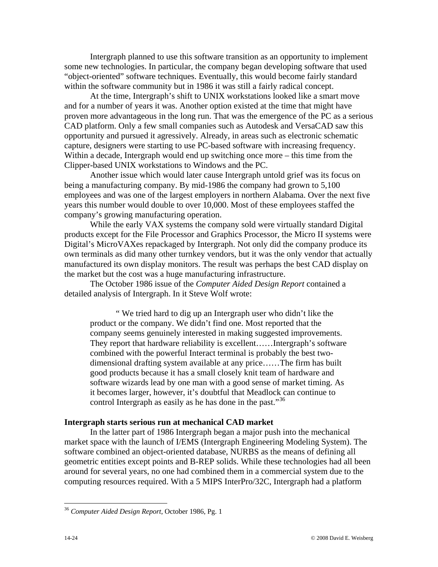Intergraph planned to use this software transition as an opportunity to implement some new technologies. In particular, the company began developing software that used "object-oriented" software techniques. Eventually, this would become fairly standard within the software community but in 1986 it was still a fairly radical concept.

At the time, Intergraph's shift to UNIX workstations looked like a smart move and for a number of years it was. Another option existed at the time that might have proven more advantageous in the long run. That was the emergence of the PC as a serious CAD platform. Only a few small companies such as Autodesk and VersaCAD saw this opportunity and pursued it agressively. Already, in areas such as electronic schematic capture, designers were starting to use PC-based software with increasing frequency. Within a decade, Intergraph would end up switching once more – this time from the Clipper-based UNIX workstations to Windows and the PC.

Another issue which would later cause Intergraph untold grief was its focus on being a manufacturing company. By mid-1986 the company had grown to 5,100 employees and was one of the largest employers in northern Alabama. Over the next five years this number would double to over 10,000. Most of these employees staffed the company's growing manufacturing operation.

While the early VAX systems the company sold were virtually standard Digital products except for the File Processor and Graphics Processor, the Micro II systems were Digital's MicroVAXes repackaged by Intergraph. Not only did the company produce its own terminals as did many other turnkey vendors, but it was the only vendor that actually manufactured its own display monitors. The result was perhaps the best CAD display on the market but the cost was a huge manufacturing infrastructure.

The October 1986 issue of the *Computer Aided Design Report* contained a detailed analysis of Intergraph. In it Steve Wolf wrote:

" We tried hard to dig up an Intergraph user who didn't like the product or the company. We didn't find one. Most reported that the company seems genuinely interested in making suggested improvements. They report that hardware reliability is excellent……Intergraph's software combined with the powerful Interact terminal is probably the best twodimensional drafting system available at any price……The firm has built good products because it has a small closely knit team of hardware and software wizards lead by one man with a good sense of market timing. As it becomes larger, however, it's doubtful that Meadlock can continue to control Intergraph as easily as he has done in the past."<sup>[36](#page-23-0)</sup>

# **Intergraph starts serious run at mechanical CAD market**

In the latter part of 1986 Intergraph began a major push into the mechanical market space with the launch of I/EMS (Intergraph Engineering Modeling System). The software combined an object-oriented database, NURBS as the means of defining all geometric entities except points and B-REP solids. While these technologies had all been around for several years, no one had combined them in a commercial system due to the computing resources required. With a 5 MIPS InterPro/32C, Intergraph had a platform

<span id="page-23-0"></span><sup>36</sup> *Computer Aided Design Report*, October 1986, Pg. 1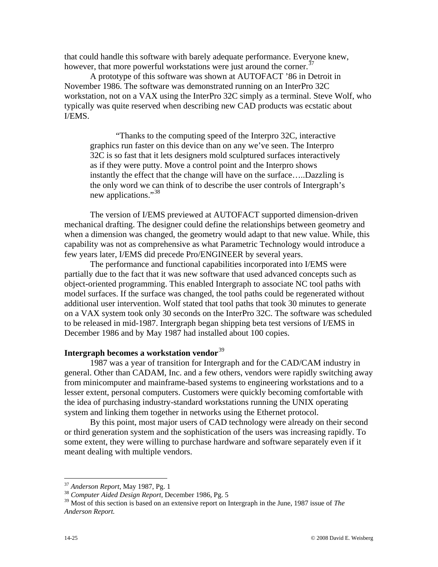that could handle this software with barely adequate performance. Everyone knew, however, that more powerful workstations were just around the corner.<sup>[37](#page-24-0)</sup>

A prototype of this software was shown at AUTOFACT '86 in Detroit in November 1986. The software was demonstrated running on an InterPro 32C workstation, not on a VAX using the InterPro 32C simply as a terminal. Steve Wolf, who typically was quite reserved when describing new CAD products was ecstatic about I/EMS.

"Thanks to the computing speed of the Interpro 32C, interactive graphics run faster on this device than on any we've seen. The Interpro 32C is so fast that it lets designers mold sculptured surfaces interactively as if they were putty. Move a control point and the Interpro shows instantly the effect that the change will have on the surface…..Dazzling is the only word we can think of to describe the user controls of Intergraph's new applications."<sup>[38](#page-24-1)</sup>

The version of I/EMS previewed at AUTOFACT supported dimension-driven mechanical drafting. The designer could define the relationships between geometry and when a dimension was changed, the geometry would adapt to that new value. While, this capability was not as comprehensive as what Parametric Technology would introduce a few years later, I/EMS did precede Pro/ENGINEER by several years.

The performance and functional capabilities incorporated into I/EMS were partially due to the fact that it was new software that used advanced concepts such as object-oriented programming. This enabled Intergraph to associate NC tool paths with model surfaces. If the surface was changed, the tool paths could be regenerated without additional user intervention. Wolf stated that tool paths that took 30 minutes to generate on a VAX system took only 30 seconds on the InterPro 32C. The software was scheduled to be released in mid-1987. Intergraph began shipping beta test versions of I/EMS in December 1986 and by May 1987 had installed about 100 copies.

# **Intergraph becomes a workstation vendor**[39](#page-24-2)

1987 was a year of transition for Intergraph and for the CAD/CAM industry in general. Other than CADAM, Inc. and a few others, vendors were rapidly switching away from minicomputer and mainframe-based systems to engineering workstations and to a lesser extent, personal computers. Customers were quickly becoming comfortable with the idea of purchasing industry-standard workstations running the UNIX operating system and linking them together in networks using the Ethernet protocol.

By this point, most major users of CAD technology were already on their second or third generation system and the sophistication of the users was increasing rapidly. To some extent, they were willing to purchase hardware and software separately even if it meant dealing with multiple vendors.

<span id="page-24-0"></span><sup>&</sup>lt;sup>37</sup> Anderson Report, May 1987, Pg. 1<br><sup>38</sup> Computer Aided Design Report, December 1986, Pg. 5

<span id="page-24-2"></span><span id="page-24-1"></span><sup>39</sup> Most of this section is based on an extensive report on Intergraph in the June, 1987 issue of *The Anderson Report.*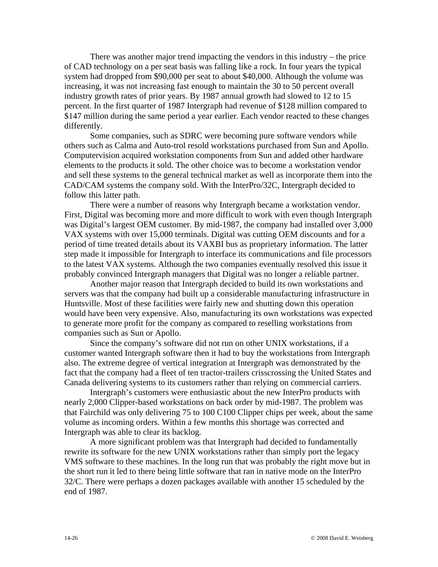There was another major trend impacting the vendors in this industry – the price of CAD technology on a per seat basis was falling like a rock. In four years the typical system had dropped from \$90,000 per seat to about \$40,000. Although the volume was increasing, it was not increasing fast enough to maintain the 30 to 50 percent overall industry growth rates of prior years. By 1987 annual growth had slowed to 12 to 15 percent. In the first quarter of 1987 Intergraph had revenue of \$128 million compared to \$147 million during the same period a year earlier. Each vendor reacted to these changes differently.

Some companies, such as SDRC were becoming pure software vendors while others such as Calma and Auto-trol resold workstations purchased from Sun and Apollo. Computervision acquired workstation components from Sun and added other hardware elements to the products it sold. The other choice was to become a workstation vendor and sell these systems to the general technical market as well as incorporate them into the CAD/CAM systems the company sold. With the InterPro/32C, Intergraph decided to follow this latter path.

There were a number of reasons why Intergraph became a workstation vendor. First, Digital was becoming more and more difficult to work with even though Intergraph was Digital's largest OEM customer. By mid-1987, the company had installed over 3,000 VAX systems with over 15,000 terminals. Digital was cutting OEM discounts and for a period of time treated details about its VAXBI bus as proprietary information. The latter step made it impossible for Intergraph to interface its communications and file processors to the latest VAX systems. Although the two companies eventually resolved this issue it probably convinced Intergraph managers that Digital was no longer a reliable partner.

Another major reason that Intergraph decided to build its own workstations and servers was that the company had built up a considerable manufacturing infrastructure in Huntsville. Most of these facilities were fairly new and shutting down this operation would have been very expensive. Also, manufacturing its own workstations was expected to generate more profit for the company as compared to reselling workstations from companies such as Sun or Apollo.

Since the company's software did not run on other UNIX workstations, if a customer wanted Intergraph software then it had to buy the workstations from Intergraph also. The extreme degree of vertical integration at Intergraph was demonstrated by the fact that the company had a fleet of ten tractor-trailers crisscrossing the United States and Canada delivering systems to its customers rather than relying on commercial carriers.

Intergraph's customers were enthusiastic about the new InterPro products with nearly 2,000 Clipper-based workstations on back order by mid-1987. The problem was that Fairchild was only delivering 75 to 100 C100 Clipper chips per week, about the same volume as incoming orders. Within a few months this shortage was corrected and Intergraph was able to clear its backlog.

A more significant problem was that Intergraph had decided to fundamentally rewrite its software for the new UNIX workstations rather than simply port the legacy VMS software to these machines. In the long run that was probably the right move but in the short run it led to there being little software that ran in native mode on the InterPro 32/C. There were perhaps a dozen packages available with another 15 scheduled by the end of 1987.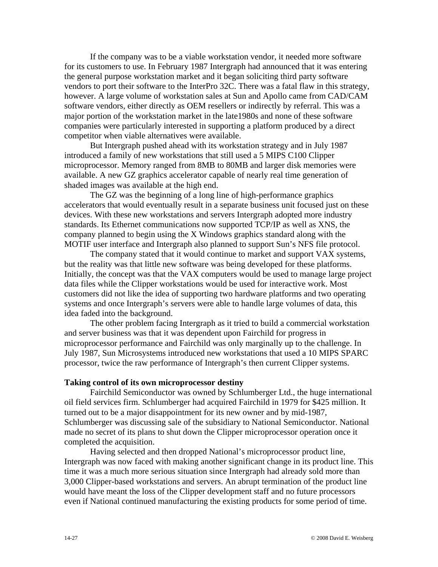If the company was to be a viable workstation vendor, it needed more software for its customers to use. In February 1987 Intergraph had announced that it was entering the general purpose workstation market and it began soliciting third party software vendors to port their software to the InterPro 32C. There was a fatal flaw in this strategy, however. A large volume of workstation sales at Sun and Apollo came from CAD/CAM software vendors, either directly as OEM resellers or indirectly by referral. This was a major portion of the workstation market in the late1980s and none of these software companies were particularly interested in supporting a platform produced by a direct competitor when viable alternatives were available.

But Intergraph pushed ahead with its workstation strategy and in July 1987 introduced a family of new workstations that still used a 5 MIPS C100 Clipper microprocessor. Memory ranged from 8MB to 80MB and larger disk memories were available. A new GZ graphics accelerator capable of nearly real time generation of shaded images was available at the high end.

The GZ was the beginning of a long line of high-performance graphics accelerators that would eventually result in a separate business unit focused just on these devices. With these new workstations and servers Intergraph adopted more industry standards. Its Ethernet communications now supported TCP/IP as well as XNS, the company planned to begin using the X Windows graphics standard along with the MOTIF user interface and Intergraph also planned to support Sun's NFS file protocol.

The company stated that it would continue to market and support VAX systems, but the reality was that little new software was being developed for these platforms. Initially, the concept was that the VAX computers would be used to manage large project data files while the Clipper workstations would be used for interactive work. Most customers did not like the idea of supporting two hardware platforms and two operating systems and once Intergraph's servers were able to handle large volumes of data, this idea faded into the background.

The other problem facing Intergraph as it tried to build a commercial workstation and server business was that it was dependent upon Fairchild for progress in microprocessor performance and Fairchild was only marginally up to the challenge. In July 1987, Sun Microsystems introduced new workstations that used a 10 MIPS SPARC processor, twice the raw performance of Intergraph's then current Clipper systems.

### **Taking control of its own microprocessor destiny**

Fairchild Semiconductor was owned by Schlumberger Ltd., the huge international oil field services firm. Schlumberger had acquired Fairchild in 1979 for \$425 million. It turned out to be a major disappointment for its new owner and by mid-1987, Schlumberger was discussing sale of the subsidiary to National Semiconductor. National made no secret of its plans to shut down the Clipper microprocessor operation once it completed the acquisition.

Having selected and then dropped National's microprocessor product line, Intergraph was now faced with making another significant change in its product line. This time it was a much more serious situation since Intergraph had already sold more than 3,000 Clipper-based workstations and servers. An abrupt termination of the product line would have meant the loss of the Clipper development staff and no future processors even if National continued manufacturing the existing products for some period of time.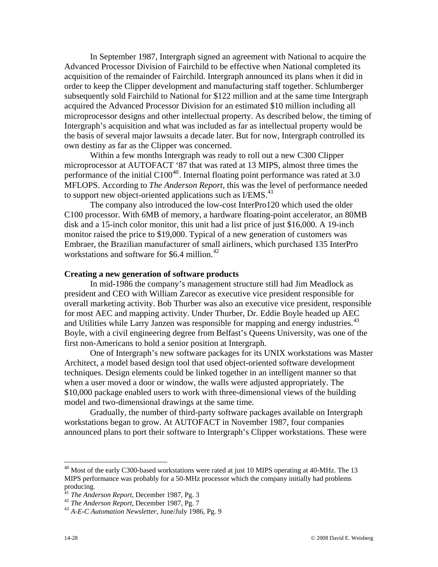In September 1987, Intergraph signed an agreement with National to acquire the Advanced Processor Division of Fairchild to be effective when National completed its acquisition of the remainder of Fairchild. Intergraph announced its plans when it did in order to keep the Clipper development and manufacturing staff together. Schlumberger subsequently sold Fairchild to National for \$122 million and at the same time Intergraph acquired the Advanced Processor Division for an estimated \$10 million including all microprocessor designs and other intellectual property. As described below, the timing of Intergraph's acquisition and what was included as far as intellectual property would be the basis of several major lawsuits a decade later. But for now, Intergraph controlled its own destiny as far as the Clipper was concerned.

Within a few months Intergraph was ready to roll out a new C300 Clipper microprocessor at AUTOFACT '87 that was rated at 13 MIPS, almost three times the performance of the initial  $C100^{40}$  $C100^{40}$  $C100^{40}$ . Internal floating point performance was rated at 3.0 MFLOPS. According to *The Anderson Report*, this was the level of performance needed to support new object-oriented applications such as  $I/EMS.^{41}$  $I/EMS.^{41}$  $I/EMS.^{41}$ 

The company also introduced the low-cost InterPro120 which used the older C100 processor. With 6MB of memory, a hardware floating-point accelerator, an 80MB disk and a 15-inch color monitor, this unit had a list price of just \$16,000. A 19-inch monitor raised the price to \$19,000. Typical of a new generation of customers was Embraer, the Brazilian manufacturer of small airliners, which purchased 135 InterPro workstations and software for \$6.4 million.<sup>[42](#page-27-2)</sup>

### **Creating a new generation of software products**

In mid-1986 the company's management structure still had Jim Meadlock as president and CEO with William Zarecor as executive vice president responsible for overall marketing activity. Bob Thurber was also an executive vice president, responsible for most AEC and mapping activity. Under Thurber, Dr. Eddie Boyle headed up AEC and Utilities while Larry Janzen was responsible for mapping and energy industries.<sup>[43](#page-27-3)</sup> Boyle, with a civil engineering degree from Belfast's Queens University, was one of the first non-Americans to hold a senior position at Intergraph.

One of Intergraph's new software packages for its UNIX workstations was Master Architect, a model based design tool that used object-oriented software development techniques. Design elements could be linked together in an intelligent manner so that when a user moved a door or window, the walls were adjusted appropriately. The \$10,000 package enabled users to work with three-dimensional views of the building model and two-dimensional drawings at the same time.

Gradually, the number of third-party software packages available on Intergraph workstations began to grow. At AUTOFACT in November 1987, four companies announced plans to port their software to Intergraph's Clipper workstations. These were

<span id="page-27-0"></span> $^{40}$  Most of the early C300-based workstations were rated at just 10 MIPS operating at 40-MHz. The 13 MIPS performance was probably for a 50-MHz processor which the company initially had problems producing.

<span id="page-27-2"></span>

<span id="page-27-3"></span>

<span id="page-27-1"></span><sup>&</sup>lt;sup>41</sup> *The Anderson Report*, December 1987, Pg. 3<br><sup>42</sup> *The Anderson Report*, December 1987, Pg. 7<br><sup>43</sup> A-E-C Automation Newsletter, June/July 1986, Pg. 9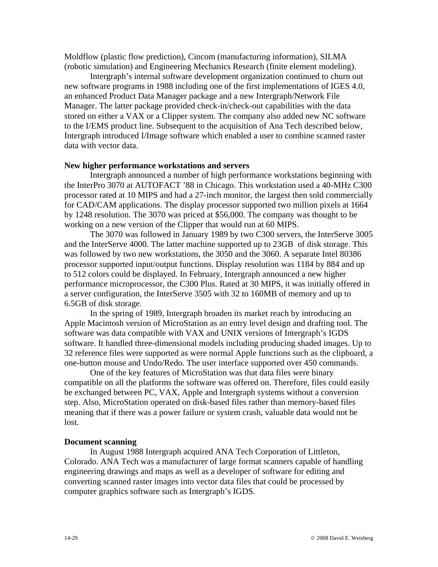Moldflow (plastic flow prediction), Cincom (manufacturing information), SILMA (robotic simulation) and Engineering Mechanics Research (finite element modeling).

Intergraph's internal software development organization continued to churn out new software programs in 1988 including one of the first implementations of IGES 4.0, an enhanced Product Data Manager package and a new Intergraph/Network File Manager. The latter package provided check-in/check-out capabilities with the data stored on either a VAX or a Clipper system. The company also added new NC software to the I/EMS product line. Subsequent to the acquisition of Ana Tech described below, Intergraph introduced I/Image software which enabled a user to combine scanned raster data with vector data.

# **New higher performance workstations and servers**

Intergraph announced a number of high performance workstations beginning with the InterPro 3070 at AUTOFACT '88 in Chicago. This workstation used a 40-MHz C300 processor rated at 10 MIPS and had a 27-inch monitor, the largest then sold commercially for CAD/CAM applications. The display processor supported two million pixels at 1664 by 1248 resolution. The 3070 was priced at \$56,000. The company was thought to be working on a new version of the Clipper that would run at 60 MIPS.

The 3070 was followed in January 1989 by two C300 servers, the InterServe 3005 and the InterServe 4000. The latter machine supported up to 23GB of disk storage. This was followed by two new workstations, the 3050 and the 3060. A separate Intel 80386 processor supported input/output functions. Display resolution was 1184 by 884 and up to 512 colors could be displayed. In February, Intergraph announced a new higher performance microprocessor, the C300 Plus. Rated at 30 MIPS, it was initially offered in a server configuration, the InterServe 3505 with 32 to 160MB of memory and up to 6.5GB of disk storage.

In the spring of 1989, Intergraph broaden its market reach by introducing an Apple Macintosh version of MicroStation as an entry level design and drafting tool. The software was data compatible with VAX and UNIX versions of Intergraph's IGDS software. It handled three-dimensional models including producing shaded images. Up to 32 reference files were supported as were normal Apple functions such as the clipboard, a one-button mouse and Undo/Redo. The user interface supported over 450 commands.

One of the key features of MicroStation was that data files were binary compatible on all the platforms the software was offered on. Therefore, files could easily be exchanged between PC, VAX, Apple and Intergraph systems without a conversion step. Also, MicroStation operated on disk-based files rather than memory-based files meaning that if there was a power failure or system crash, valuable data would not be lost.

# **Document scanning**

In August 1988 Intergraph acquired ANA Tech Corporation of Littleton, Colorado. ANA Tech was a manufacturer of large format scanners capable of handling engineering drawings and maps as well as a developer of software for editing and converting scanned raster images into vector data files that could be processed by computer graphics software such as Intergraph's IGDS.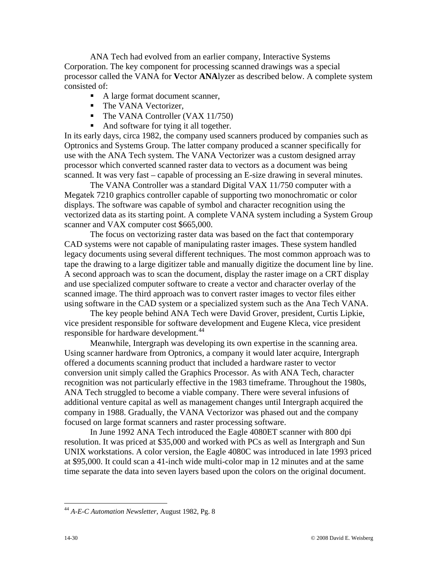ANA Tech had evolved from an earlier company, Interactive Systems Corporation. The key component for processing scanned drawings was a special processor called the VANA for **V**ector **ANA**lyzer as described below. A complete system consisted of:

- A large format document scanner,
- The VANA Vectorizer,
- The VANA Controller (VAX 11/750)
- And software for tying it all together.

In its early days, circa 1982, the company used scanners produced by companies such as Optronics and Systems Group. The latter company produced a scanner specifically for use with the ANA Tech system. The VANA Vectorizer was a custom designed array processor which converted scanned raster data to vectors as a document was being scanned. It was very fast – capable of processing an E-size drawing in several minutes.

The VANA Controller was a standard Digital VAX 11/750 computer with a Megatek 7210 graphics controller capable of supporting two monochromatic or color displays. The software was capable of symbol and character recognition using the vectorized data as its starting point. A complete VANA system including a System Group scanner and VAX computer cost \$665,000.

The focus on vectorizing raster data was based on the fact that contemporary CAD systems were not capable of manipulating raster images. These system handled legacy documents using several different techniques. The most common approach was to tape the drawing to a large digitizer table and manually digitize the document line by line. A second approach was to scan the document, display the raster image on a CRT display and use specialized computer software to create a vector and character overlay of the scanned image. The third approach was to convert raster images to vector files either using software in the CAD system or a specialized system such as the Ana Tech VANA.

The key people behind ANA Tech were David Grover, president, Curtis Lipkie, vice president responsible for software development and Eugene Kleca, vice president responsible for hardware development.<sup>[44](#page-29-0)</sup>

Meanwhile, Intergraph was developing its own expertise in the scanning area. Using scanner hardware from Optronics, a company it would later acquire, Intergraph offered a documents scanning product that included a hardware raster to vector conversion unit simply called the Graphics Processor. As with ANA Tech, character recognition was not particularly effective in the 1983 timeframe. Throughout the 1980s, ANA Tech struggled to become a viable company. There were several infusions of additional venture capital as well as management changes until Intergraph acquired the company in 1988. Gradually, the VANA Vectorizor was phased out and the company focused on large format scanners and raster processing software.

In June 1992 ANA Tech introduced the Eagle 4080ET scanner with 800 dpi resolution. It was priced at \$35,000 and worked with PCs as well as Intergraph and Sun UNIX workstations. A color version, the Eagle 4080C was introduced in late 1993 priced at \$95,000. It could scan a 41-inch wide multi-color map in 12 minutes and at the same time separate the data into seven layers based upon the colors on the original document.

<span id="page-29-0"></span><sup>44</sup> *A-E-C Automation Newsletter*, August 1982, Pg. 8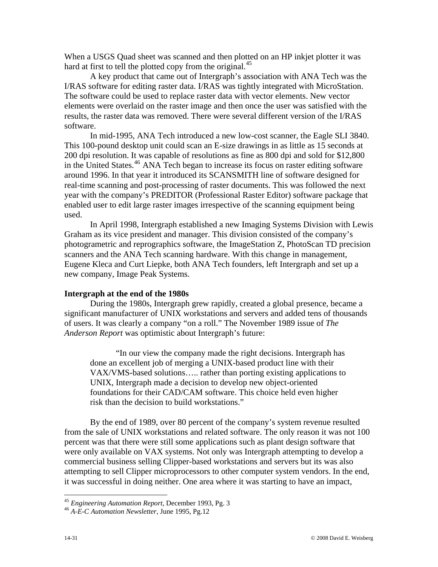When a USGS Quad sheet was scanned and then plotted on an HP inkjet plotter it was hard at first to tell the plotted copy from the original.<sup>[45](#page-30-0)</sup>

A key product that came out of Intergraph's association with ANA Tech was the I/RAS software for editing raster data. I/RAS was tightly integrated with MicroStation. The software could be used to replace raster data with vector elements. New vector elements were overlaid on the raster image and then once the user was satisfied with the results, the raster data was removed. There were several different version of the I/RAS software.

In mid-1995, ANA Tech introduced a new low-cost scanner, the Eagle SLI 3840. This 100-pound desktop unit could scan an E-size drawings in as little as 15 seconds at 200 dpi resolution. It was capable of resolutions as fine as 800 dpi and sold for \$12,800 in the United States.<sup>[46](#page-30-1)</sup> ANA Tech began to increase its focus on raster editing software around 1996. In that year it introduced its SCANSMITH line of software designed for real-time scanning and post-processing of raster documents. This was followed the next year with the company's PREDITOR (Professional Raster Editor) software package that enabled user to edit large raster images irrespective of the scanning equipment being used.

In April 1998, Intergraph established a new Imaging Systems Division with Lewis Graham as its vice president and manager. This division consisted of the company's photogrametric and reprographics software, the ImageStation Z, PhotoScan TD precision scanners and the ANA Tech scanning hardware. With this change in management, Eugene Kleca and Curt Liepke, both ANA Tech founders, left Intergraph and set up a new company, Image Peak Systems.

# **Intergraph at the end of the 1980s**

During the 1980s, Intergraph grew rapidly, created a global presence, became a significant manufacturer of UNIX workstations and servers and added tens of thousands of users. It was clearly a company "on a roll." The November 1989 issue of *The Anderson Report* was optimistic about Intergraph's future:

"In our view the company made the right decisions. Intergraph has done an excellent job of merging a UNIX-based product line with their VAX/VMS-based solutions….. rather than porting existing applications to UNIX, Intergraph made a decision to develop new object-oriented foundations for their CAD/CAM software. This choice held even higher risk than the decision to build workstations."

By the end of 1989, over 80 percent of the company's system revenue resulted from the sale of UNIX workstations and related software. The only reason it was not 100 percent was that there were still some applications such as plant design software that were only available on VAX systems. Not only was Intergraph attempting to develop a commercial business selling Clipper-based workstations and servers but its was also attempting to sell Clipper microprocessors to other computer system vendors. In the end, it was successful in doing neither. One area where it was starting to have an impact,

<span id="page-30-0"></span><sup>45</sup> *Engineering Automation Report*, December 1993, Pg. 3 46 *A-E-C Automation Newsletter*, June 1995, Pg.12

<span id="page-30-1"></span>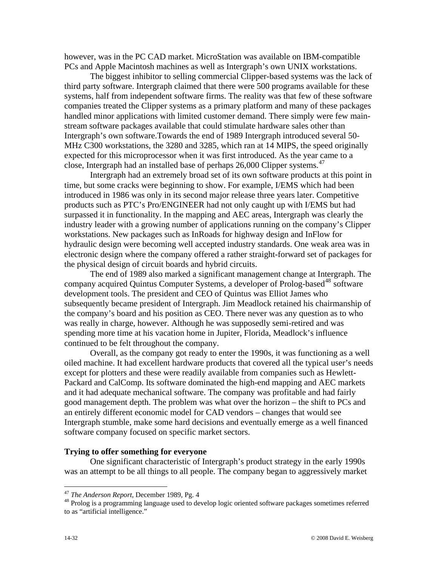however, was in the PC CAD market. MicroStation was available on IBM-compatible PCs and Apple Macintosh machines as well as Intergraph's own UNIX workstations.

The biggest inhibitor to selling commercial Clipper-based systems was the lack of third party software. Intergraph claimed that there were 500 programs available for these systems, half from independent software firms. The reality was that few of these software companies treated the Clipper systems as a primary platform and many of these packages handled minor applications with limited customer demand. There simply were few mainstream software packages available that could stimulate hardware sales other than Intergraph's own software.Towards the end of 1989 Intergraph introduced several 50- MHz C300 workstations, the 3280 and 3285, which ran at 14 MIPS, the speed originally expected for this microprocessor when it was first introduced. As the year came to a close, Intergraph had an installed base of perhaps  $26,000$  Clipper systems.<sup>[47](#page-31-0)</sup>

Intergraph had an extremely broad set of its own software products at this point in time, but some cracks were beginning to show. For example, I/EMS which had been introduced in 1986 was only in its second major release three years later. Competitive products such as PTC's Pro/ENGINEER had not only caught up with I/EMS but had surpassed it in functionality. In the mapping and AEC areas, Intergraph was clearly the industry leader with a growing number of applications running on the company's Clipper workstations. New packages such as InRoads for highway design and InFlow for hydraulic design were becoming well accepted industry standards. One weak area was in electronic design where the company offered a rather straight-forward set of packages for the physical design of circuit boards and hybrid circuits.

The end of 1989 also marked a significant management change at Intergraph. The company acquired Quintus Computer Systems, a developer of Prolog-based<sup>[48](#page-31-1)</sup> software development tools. The president and CEO of Quintus was Elliot James who subsequently became president of Intergraph. Jim Meadlock retained his chairmanship of the company's board and his position as CEO. There never was any question as to who was really in charge, however. Although he was supposedly semi-retired and was spending more time at his vacation home in Jupiter, Florida, Meadlock's influence continued to be felt throughout the company.

Overall, as the company got ready to enter the 1990s, it was functioning as a well oiled machine. It had excellent hardware products that covered all the typical user's needs except for plotters and these were readily available from companies such as Hewlett-Packard and CalComp. Its software dominated the high-end mapping and AEC markets and it had adequate mechanical software. The company was profitable and had fairly good management depth. The problem was what over the horizon – the shift to PCs and an entirely different economic model for CAD vendors – changes that would see Intergraph stumble, make some hard decisions and eventually emerge as a well financed software company focused on specific market sectors.

#### **Trying to offer something for everyone**

One significant characteristic of Intergraph's product strategy in the early 1990s was an attempt to be all things to all people. The company began to aggressively market

<span id="page-31-1"></span><span id="page-31-0"></span><sup>&</sup>lt;sup>47</sup> *The Anderson Report*, December 1989, Pg. 4<br><sup>48</sup> Prolog is a programming language used to develop logic oriented software packages sometimes referred to as "artificial intelligence."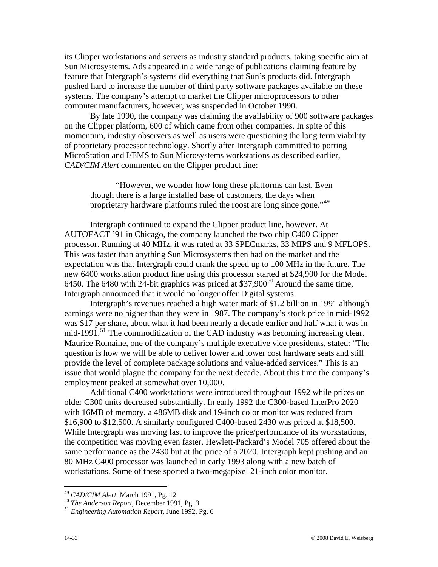its Clipper workstations and servers as industry standard products, taking specific aim at Sun Microsystems. Ads appeared in a wide range of publications claiming feature by feature that Intergraph's systems did everything that Sun's products did. Intergraph pushed hard to increase the number of third party software packages available on these systems. The company's attempt to market the Clipper microprocessors to other computer manufacturers, however, was suspended in October 1990.

By late 1990, the company was claiming the availability of 900 software packages on the Clipper platform, 600 of which came from other companies. In spite of this momentum, industry observers as well as users were questioning the long term viability of proprietary processor technology. Shortly after Intergraph committed to porting MicroStation and I/EMS to Sun Microsystems workstations as described earlier, *CAD/CIM Alert* commented on the Clipper product line:

"However, we wonder how long these platforms can last. Even though there is a large installed base of customers, the days when proprietary hardware platforms ruled the roost are long since gone."[49](#page-32-0)

Intergraph continued to expand the Clipper product line, however. At AUTOFACT '91 in Chicago, the company launched the two chip C400 Clipper processor. Running at 40 MHz, it was rated at 33 SPECmarks, 33 MIPS and 9 MFLOPS. This was faster than anything Sun Microsystems then had on the market and the expectation was that Intergraph could crank the speed up to 100 MHz in the future. The new 6400 workstation product line using this processor started at \$24,900 for the Model 64[50](#page-32-1). The 6480 with 24-bit graphics was priced at  $$37,900^{50}$  Around the same time, Intergraph announced that it would no longer offer Digital systems.

Intergraph's revenues reached a high water mark of \$1.2 billion in 1991 although earnings were no higher than they were in 1987. The company's stock price in mid-1992 was \$17 per share, about what it had been nearly a decade earlier and half what it was in mid-1991.<sup>[51](#page-32-2)</sup> The commoditization of the CAD industry was becoming increasing clear. Maurice Romaine, one of the company's multiple executive vice presidents, stated: "The question is how we will be able to deliver lower and lower cost hardware seats and still provide the level of complete package solutions and value-added services." This is an issue that would plague the company for the next decade. About this time the company's employment peaked at somewhat over 10,000.

Additional C400 workstations were introduced throughout 1992 while prices on older C300 units decreased substantially. In early 1992 the C300-based InterPro 2020 with 16MB of memory, a 486MB disk and 19-inch color monitor was reduced from \$16,900 to \$12,500. A similarly configured C400-based 2430 was priced at \$18,500. While Intergraph was moving fast to improve the price/performance of its workstations, the competition was moving even faster. Hewlett-Packard's Model 705 offered about the same performance as the 2430 but at the price of a 2020. Intergraph kept pushing and an 80 MHz C400 processor was launched in early 1993 along with a new batch of workstations. Some of these sported a two-megapixel 21-inch color monitor.

<span id="page-32-2"></span>

<span id="page-32-1"></span><span id="page-32-0"></span><sup>&</sup>lt;sup>49</sup> *CAD/CIM Alert*, March 1991, Pg. 12<br><sup>50</sup> *The Anderson Report*, December 1991, Pg. 3<br><sup>51</sup> *Engineering Automation Report*, June 1992, Pg. 6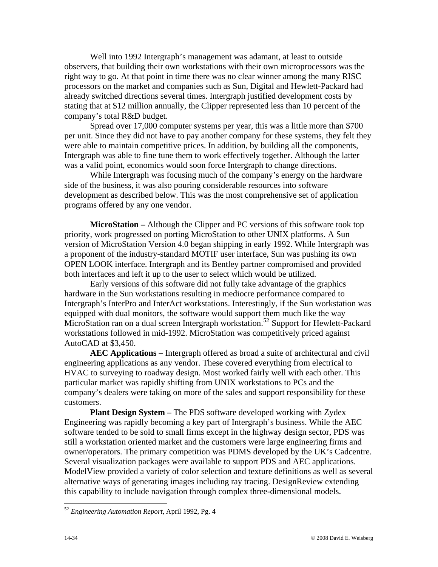Well into 1992 Intergraph's management was adamant, at least to outside observers, that building their own workstations with their own microprocessors was the right way to go. At that point in time there was no clear winner among the many RISC processors on the market and companies such as Sun, Digital and Hewlett-Packard had already switched directions several times. Intergraph justified development costs by stating that at \$12 million annually, the Clipper represented less than 10 percent of the company's total R&D budget.

Spread over 17,000 computer systems per year, this was a little more than \$700 per unit. Since they did not have to pay another company for these systems, they felt they were able to maintain competitive prices. In addition, by building all the components, Intergraph was able to fine tune them to work effectively together. Although the latter was a valid point, economics would soon force Intergraph to change directions.

While Intergraph was focusing much of the company's energy on the hardware side of the business, it was also pouring considerable resources into software development as described below. This was the most comprehensive set of application programs offered by any one vendor.

**MicroStation –** Although the Clipper and PC versions of this software took top priority, work progressed on porting MicroStation to other UNIX platforms. A Sun version of MicroStation Version 4.0 began shipping in early 1992. While Intergraph was a proponent of the industry-standard MOTIF user interface, Sun was pushing its own OPEN LOOK interface. Intergraph and its Bentley partner compromised and provided both interfaces and left it up to the user to select which would be utilized.

Early versions of this software did not fully take advantage of the graphics hardware in the Sun workstations resulting in mediocre performance compared to Intergraph's InterPro and InterAct workstations. Interestingly, if the Sun workstation was equipped with dual monitors, the software would support them much like the way MicroStation ran on a dual screen Intergraph workstation.<sup>[52](#page-33-0)</sup> Support for Hewlett-Packard workstations followed in mid-1992. MicroStation was competitively priced against AutoCAD at \$3,450.

**AEC Applications –** Intergraph offered as broad a suite of architectural and civil engineering applications as any vendor. These covered everything from electrical to HVAC to surveying to roadway design. Most worked fairly well with each other. This particular market was rapidly shifting from UNIX workstations to PCs and the company's dealers were taking on more of the sales and support responsibility for these customers.

**Plant Design System –** The PDS software developed working with Zydex Engineering was rapidly becoming a key part of Intergraph's business. While the AEC software tended to be sold to small firms except in the highway design sector, PDS was still a workstation oriented market and the customers were large engineering firms and owner/operators. The primary competition was PDMS developed by the UK's Cadcentre. Several visualization packages were available to support PDS and AEC applications. ModelView provided a variety of color selection and texture definitions as well as several alternative ways of generating images including ray tracing. DesignReview extending this capability to include navigation through complex three-dimensional models.

<span id="page-33-0"></span><sup>52</sup> *Engineering Automation Report*, April 1992, Pg. 4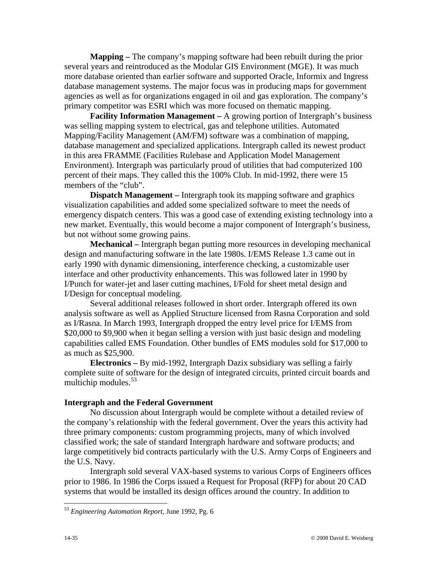**Mapping –** The company's mapping software had been rebuilt during the prior several years and reintroduced as the Modular GIS Environment (MGE). It was much more database oriented than earlier software and supported Oracle, Informix and Ingress database management systems. The major focus was in producing maps for government agencies as well as for organizations engaged in oil and gas exploration. The company's primary competitor was ESRI which was more focused on thematic mapping.

**Facility Information Management** – A growing portion of Intergraph's business was selling mapping system to electrical, gas and telephone utilities. Automated Mapping/Facility Management (AM/FM) software was a combination of mapping, database management and specialized applications. Intergraph called its newest product in this area FRAMME (Facilities Rulebase and Application Model Management Environment). Intergraph was particularly proud of utilities that had computerized 100 percent of their maps. They called this the 100% Club. In mid-1992, there were 15 members of the "club".

**Dispatch Management –** Intergraph took its mapping software and graphics visualization capabilities and added some specialized software to meet the needs of emergency dispatch centers. This was a good case of extending existing technology into a new market. Eventually, this would become a major component of Intergraph's business, but not without some growing pains.

**Mechanical –** Intergraph began putting more resources in developing mechanical design and manufacturing software in the late 1980s. I/EMS Release 1.3 came out in early 1990 with dynamic dimensioning, interference checking, a customizable user interface and other productivity enhancements. This was followed later in 1990 by I/Punch for water-jet and laser cutting machines, I/Fold for sheet metal design and I/Design for conceptual modeling.

Several additional releases followed in short order. Intergraph offered its own analysis software as well as Applied Structure licensed from Rasna Corporation and sold as I/Rasna. In March 1993, Intergraph dropped the entry level price for I/EMS from \$20,000 to \$9,900 when it began selling a version with just basic design and modeling capabilities called EMS Foundation. Other bundles of EMS modules sold for \$17,000 to as much as \$25,900.

**Electronics –** By mid-1992, Intergraph Dazix subsidiary was selling a fairly complete suite of software for the design of integrated circuits, printed circuit boards and multichip modules. $53$ 

# **Intergraph and the Federal Government**

No discussion about Intergraph would be complete without a detailed review of the company's relationship with the federal government. Over the years this activity had three primary components: custom programming projects, many of which involved classified work; the sale of standard Intergraph hardware and software products; and large competitively bid contracts particularly with the U.S. Army Corps of Engineers and the U.S. Navy.

Intergraph sold several VAX-based systems to various Corps of Engineers offices prior to 1986. In 1986 the Corps issued a Request for Proposal (RFP) for about 20 CAD systems that would be installed its design offices around the country. In addition to

<span id="page-34-0"></span><sup>53</sup> *Engineering Automation Report*, June 1992, Pg. 6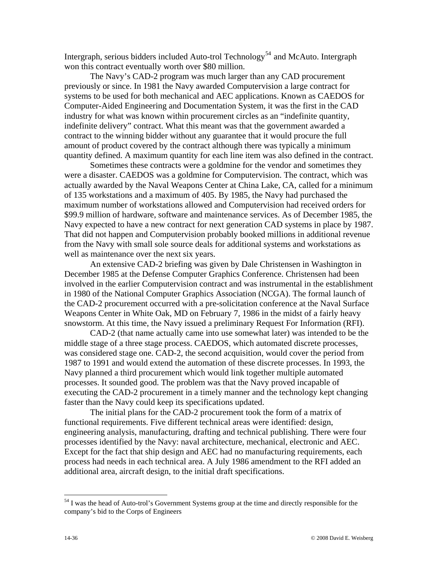won this contract eventually worth over \$80 million. Intergraph, serious bidders included Auto-trol Technology<sup>[54](#page-35-0)</sup> and McAuto. Intergraph

The Navy's CAD-2 program was much larger than any CAD procurement previously or since. In 1981 the Navy awarded Computervision a large contract for systems to be used for both mechanical and AEC applications. Known as CAEDOS for Computer-Aided Engineering and Documentation System, it was the first in the CAD industry for what was known within procurement circles as an "indefinite quantity, indefinite delivery" contract. What this meant was that the government awarded a contract to the winning bidder without any guarantee that it would procure the full amount of product covered by the contract although there was typically a minimum quantity defined. A maximum quantity for each line item was also defined in the contract.

Sometimes these contracts were a goldmine for the vendor and sometimes they were a disaster. CAEDOS was a goldmine for Computervision. The contract, which was actually awarded by the Naval Weapons Center at China Lake, CA, called for a minimum of 135 workstations and a maximum of 405. By 1985, the Navy had purchased the maximum number of workstations allowed and Computervision had received orders for \$99.9 million of hardware, software and maintenance services. As of December 1985, the Navy expected to have a new contract for next generation CAD systems in place by 1987. That did not happen and Computervision probably booked millions in additional revenue from the Navy with small sole source deals for additional systems and workstations as well as maintenance over the next six years.

An extensive CAD-2 briefing was given by Dale Christensen in Washington in December 1985 at the Defense Computer Graphics Conference. Christensen had been involved in the earlier Computervision contract and was instrumental in the establishment in 1980 of the National Computer Graphics Association (NCGA). The formal launch of the CAD-2 procurement occurred with a pre-solicitation conference at the Naval Surface Weapons Center in White Oak, MD on February 7, 1986 in the midst of a fairly heavy snowstorm. At this time, the Navy issued a preliminary Request For Information (RFI).

CAD-2 (that name actually came into use somewhat later) was intended to be the middle stage of a three stage process. CAEDOS, which automated discrete processes, was considered stage one. CAD-2, the second acquisition, would cover the period from 1987 to 1991 and would extend the automation of these discrete processes. In 1993, the Navy planned a third procurement which would link together multiple automated processes. It sounded good. The problem was that the Navy proved incapable of executing the CAD-2 procurement in a timely manner and the technology kept changing faster than the Navy could keep its specifications updated.

The initial plans for the CAD-2 procurement took the form of a matrix of functional requirements. Five different technical areas were identified: design, engineering analysis, manufacturing, drafting and technical publishing. There were four processes identified by the Navy: naval architecture, mechanical, electronic and AEC. Except for the fact that ship design and AEC had no manufacturing requirements, each process had needs in each technical area. A July 1986 amendment to the RFI added an additional area, aircraft design, to the initial draft specifications.

<span id="page-35-0"></span><sup>&</sup>lt;sup>54</sup> I was the head of Auto-trol's Government Systems group at the time and directly responsible for the company's bid to the Corps of Engineers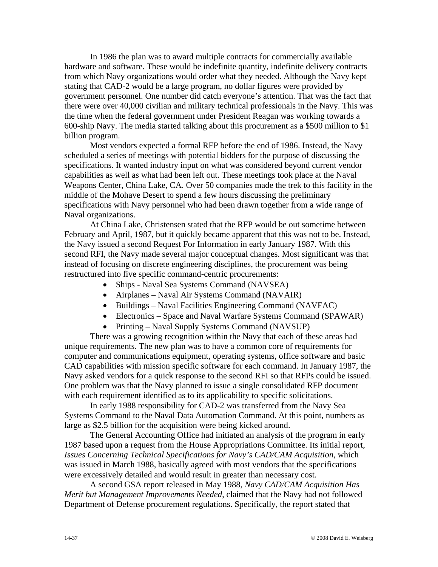In 1986 the plan was to award multiple contracts for commercially available hardware and software. These would be indefinite quantity, indefinite delivery contracts from which Navy organizations would order what they needed. Although the Navy kept stating that CAD-2 would be a large program, no dollar figures were provided by government personnel. One number did catch everyone's attention. That was the fact that there were over 40,000 civilian and military technical professionals in the Navy. This was the time when the federal government under President Reagan was working towards a 600-ship Navy. The media started talking about this procurement as a \$500 million to \$1 billion program.

Most vendors expected a formal RFP before the end of 1986. Instead, the Navy scheduled a series of meetings with potential bidders for the purpose of discussing the specifications. It wanted industry input on what was considered beyond current vendor capabilities as well as what had been left out. These meetings took place at the Naval Weapons Center, China Lake, CA. Over 50 companies made the trek to this facility in the middle of the Mohave Desert to spend a few hours discussing the preliminary specifications with Navy personnel who had been drawn together from a wide range of Naval organizations.

At China Lake, Christensen stated that the RFP would be out sometime between February and April, 1987, but it quickly became apparent that this was not to be. Instead, the Navy issued a second Request For Information in early January 1987. With this second RFI, the Navy made several major conceptual changes. Most significant was that instead of focusing on discrete engineering disciplines, the procurement was being restructured into five specific command-centric procurements:

- Ships Naval Sea Systems Command (NAVSEA)
- Airplanes Naval Air Systems Command (NAVAIR)
- Buildings Naval Facilities Engineering Command (NAVFAC)
- Electronics Space and Naval Warfare Systems Command (SPAWAR)
- Printing Naval Supply Systems Command (NAVSUP)

There was a growing recognition within the Navy that each of these areas had unique requirements. The new plan was to have a common core of requirements for computer and communications equipment, operating systems, office software and basic CAD capabilities with mission specific software for each command. In January 1987, the Navy asked vendors for a quick response to the second RFI so that RFPs could be issued. One problem was that the Navy planned to issue a single consolidated RFP document with each requirement identified as to its applicability to specific solicitations.

In early 1988 responsibility for CAD-2 was transferred from the Navy Sea Systems Command to the Naval Data Automation Command. At this point, numbers as large as \$2.5 billion for the acquisition were being kicked around.

The General Accounting Office had initiated an analysis of the program in early 1987 based upon a request from the House Appropriations Committee. Its initial report, *Issues Concerning Technical Specifications for Navy's CAD/CAM Acquisition*, which was issued in March 1988, basically agreed with most vendors that the specifications were excessively detailed and would result in greater than necessary cost.

A second GSA report released in May 1988, *Navy CAD/CAM Acquisition Has Merit but Management Improvements Needed*, claimed that the Navy had not followed Department of Defense procurement regulations. Specifically, the report stated that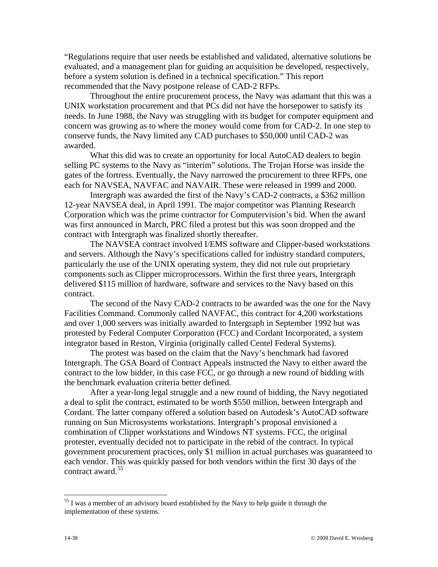"Regulations require that user needs be established and validated, alternative solutions be evaluated, and a management plan for guiding an acquisition be developed, respectively, before a system solution is defined in a technical specification." This report recommended that the Navy postpone release of CAD-2 RFPs.

Throughout the entire procurement process, the Navy was adamant that this was a UNIX workstation procurement and that PCs did not have the horsepower to satisfy its needs. In June 1988, the Navy was struggling with its budget for computer equipment and concern was growing as to where the money would come from for CAD-2. In one step to conserve funds, the Navy limited any CAD purchases to \$50,000 until CAD-2 was awarded.

What this did was to create an opportunity for local AutoCAD dealers to begin selling PC systems to the Navy as "interim" solutions. The Trojan Horse was inside the gates of the fortress. Eventually, the Navy narrowed the procurement to three RFPs, one each for NAVSEA, NAVFAC and NAVAIR. These were released in 1999 and 2000.

Intergraph was awarded the first of the Navy's CAD-2 contracts, a \$362 million 12-year NAVSEA deal, in April 1991. The major competitor was Planning Research Corporation which was the prime contractor for Computervision's bid. When the award was first announced in March, PRC filed a protest but this was soon dropped and the contract with Intergraph was finalized shortly thereafter.

The NAVSEA contract involved I/EMS software and Clipper-based workstations and servers. Although the Navy's specifications called for industry standard computers, particularly the use of the UNIX operating system, they did not rule out proprietary components such as Clipper microprocessors. Within the first three years, Intergraph delivered \$115 million of hardware, software and services to the Navy based on this contract.

The second of the Navy CAD-2 contracts to be awarded was the one for the Navy Facilities Command. Commonly called NAVFAC, this contract for 4,200 workstations and over 1,000 servers was initially awarded to Intergraph in September 1992 but was protested by Federal Computer Corporation (FCC) and Cordant Incorporated, a system integrator based in Reston, Virginia (originally called Centel Federal Systems).

The protest was based on the claim that the Navy's benchmark had favored Intergraph. The GSA Board of Contract Appeals instructed the Navy to either award the contract to the low bidder, in this case FCC, or go through a new round of bidding with the benchmark evaluation criteria better defined.

After a year-long legal struggle and a new round of bidding, the Navy negotiated a deal to split the contract, estimated to be worth \$550 million, between Intergraph and Cordant. The latter company offered a solution based on Autodesk's AutoCAD software running on Sun Microsystems workstations. Intergraph's proposal envisioned a combination of Clipper workstations and Windows NT systems. FCC, the original protester, eventually decided not to participate in the rebid of the contract. In typical government procurement practices, only \$1 million in actual purchases was guaranteed to each vendor. This was quickly passed for both vendors within the first 30 days of the contract award.<sup>[55](#page-37-0)</sup>

<span id="page-37-0"></span><sup>&</sup>lt;sup>55</sup> I was a member of an advisory board established by the Navy to help guide it through the implementation of these systems.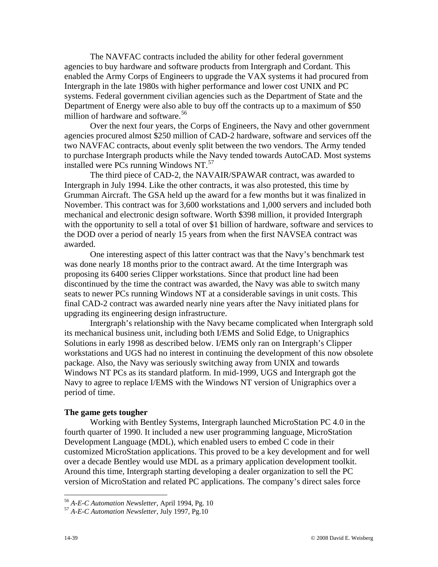The NAVFAC contracts included the ability for other federal government agencies to buy hardware and software products from Intergraph and Cordant. This enabled the Army Corps of Engineers to upgrade the VAX systems it had procured from Intergraph in the late 1980s with higher performance and lower cost UNIX and PC systems. Federal government civilian agencies such as the Department of State and the Department of Energy were also able to buy off the contracts up to a maximum of \$50 million of hardware and software.<sup>[56](#page-38-0)</sup>

Over the next four years, the Corps of Engineers, the Navy and other government agencies procured almost \$250 million of CAD-2 hardware, software and services off the two NAVFAC contracts, about evenly split between the two vendors. The Army tended to purchase Intergraph products while the Navy tended towards AutoCAD. Most systems installed were PCs running Windows NT.<sup>[57](#page-38-1)</sup>

The third piece of CAD-2, the NAVAIR/SPAWAR contract, was awarded to Intergraph in July 1994. Like the other contracts, it was also protested, this time by Grumman Aircraft. The GSA held up the award for a few months but it was finalized in November. This contract was for 3,600 workstations and 1,000 servers and included both mechanical and electronic design software. Worth \$398 million, it provided Intergraph with the opportunity to sell a total of over \$1 billion of hardware, software and services to the DOD over a period of nearly 15 years from when the first NAVSEA contract was awarded.

One interesting aspect of this latter contract was that the Navy's benchmark test was done nearly 18 months prior to the contract award. At the time Intergraph was proposing its 6400 series Clipper workstations. Since that product line had been discontinued by the time the contract was awarded, the Navy was able to switch many seats to newer PCs running Windows NT at a considerable savings in unit costs. This final CAD-2 contract was awarded nearly nine years after the Navy initiated plans for upgrading its engineering design infrastructure.

Intergraph's relationship with the Navy became complicated when Intergraph sold its mechanical business unit, including both I/EMS and Solid Edge, to Unigraphics Solutions in early 1998 as described below. I/EMS only ran on Intergraph's Clipper workstations and UGS had no interest in continuing the development of this now obsolete package. Also, the Navy was seriously switching away from UNIX and towards Windows NT PCs as its standard platform. In mid-1999, UGS and Intergraph got the Navy to agree to replace I/EMS with the Windows NT version of Unigraphics over a period of time.

### **The game gets tougher**

Working with Bentley Systems, Intergraph launched MicroStation PC 4.0 in the fourth quarter of 1990. It included a new user programming language, MicroStation Development Language (MDL), which enabled users to embed C code in their customized MicroStation applications. This proved to be a key development and for well over a decade Bentley would use MDL as a primary application development toolkit. Around this time, Intergraph starting developing a dealer organization to sell the PC version of MicroStation and related PC applications. The company's direct sales force

<span id="page-38-1"></span><span id="page-38-0"></span><sup>56</sup> *A-E-C Automation Newsletter*, April 1994, Pg. 10 57 *A-E-C Automation Newsletter*, July 1997, Pg.10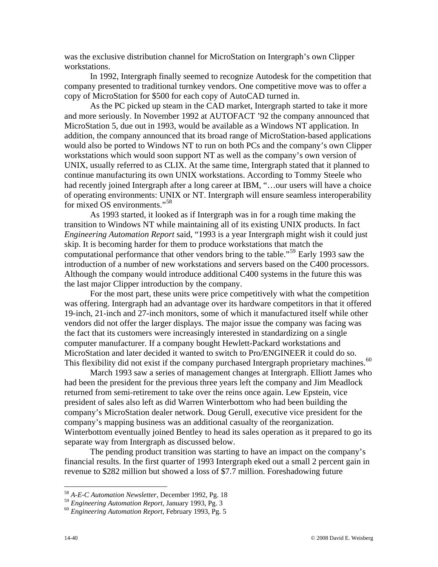was the exclusive distribution channel for MicroStation on Intergraph's own Clipper workstations.

In 1992, Intergraph finally seemed to recognize Autodesk for the competition that company presented to traditional turnkey vendors. One competitive move was to offer a copy of MicroStation for \$500 for each copy of AutoCAD turned in.

As the PC picked up steam in the CAD market, Intergraph started to take it more and more seriously. In November 1992 at AUTOFACT '92 the company announced that MicroStation 5, due out in 1993, would be available as a Windows NT application. In addition, the company announced that its broad range of MicroStation-based applications would also be ported to Windows NT to run on both PCs and the company's own Clipper workstations which would soon support NT as well as the company's own version of UNIX, usually referred to as CLIX. At the same time, Intergraph stated that it planned to continue manufacturing its own UNIX workstations. According to Tommy Steele who had recently joined Intergraph after a long career at IBM, "...our users will have a choice of operating environments: UNIX or NT. Intergraph will ensure seamless interoperability for mixed OS environments."<sup>[58](#page-39-0)</sup>

As 1993 started, it looked as if Intergraph was in for a rough time making the transition to Windows NT while maintaining all of its existing UNIX products. In fact *Engineering Automation Report* said, "1993 is a year Intergraph might wish it could just skip. It is becoming harder for them to produce workstations that match the computational performance that other vendors bring to the table."[59](#page-39-1) Early 1993 saw the introduction of a number of new workstations and servers based on the C400 processors. Although the company would introduce additional C400 systems in the future this was the last major Clipper introduction by the company.

For the most part, these units were price competitively with what the competition was offering. Intergraph had an advantage over its hardware competitors in that it offered 19-inch, 21-inch and 27-inch monitors, some of which it manufactured itself while other vendors did not offer the larger displays. The major issue the company was facing was the fact that its customers were increasingly interested in standardizing on a single computer manufacturer. If a company bought Hewlett-Packard workstations and MicroStation and later decided it wanted to switch to Pro/ENGINEER it could do so. This flexibility did not exist if the company purchased Intergraph proprietary machines.<sup>[60](#page-39-2)</sup>

March 1993 saw a series of management changes at Intergraph. Elliott James who had been the president for the previous three years left the company and Jim Meadlock returned from semi-retirement to take over the reins once again. Lew Epstein, vice president of sales also left as did Warren Winterbottom who had been building the company's MicroStation dealer network. Doug Gerull, executive vice president for the company's mapping business was an additional casualty of the reorganization. Winterbottom eventually joined Bentley to head its sales operation as it prepared to go its separate way from Intergraph as discussed below.

The pending product transition was starting to have an impact on the company's financial results. In the first quarter of 1993 Intergraph eked out a small 2 percent gain in revenue to \$282 million but showed a loss of \$7.7 million. Foreshadowing future

<span id="page-39-0"></span><sup>&</sup>lt;sup>58</sup> A-E-C Automation Newsletter, December 1992, Pg. 18<br><sup>59</sup> Engineering Automation Report, January 1993, Pg. 3

<span id="page-39-2"></span><span id="page-39-1"></span><sup>&</sup>lt;sup>60</sup> Engineering Automation Report, February 1993, Pg. 5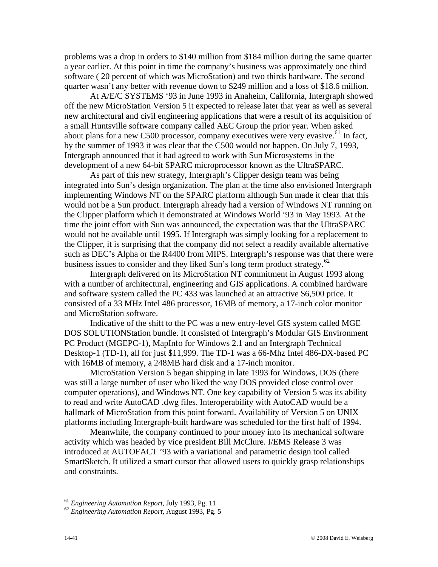problems was a drop in orders to \$140 million from \$184 million during the same quarter a year earlier. At this point in time the company's business was approximately one third software ( 20 percent of which was MicroStation) and two thirds hardware. The second quarter wasn't any better with revenue down to \$249 million and a loss of \$18.6 million.

At A/E/C SYSTEMS '93 in June 1993 in Anaheim, California, Intergraph showed off the new MicroStation Version 5 it expected to release later that year as well as several new architectural and civil engineering applications that were a result of its acquisition of a small Huntsville software company called AEC Group the prior year. When asked about plans for a new C500 processor, company executives were very evasive.<sup>[61](#page-40-0)</sup> In fact, by the summer of 1993 it was clear that the C500 would not happen. On July 7, 1993, Intergraph announced that it had agreed to work with Sun Microsystems in the development of a new 64-bit SPARC microprocessor known as the UltraSPARC.

As part of this new strategy, Intergraph's Clipper design team was being integrated into Sun's design organization. The plan at the time also envisioned Intergraph implementing Windows NT on the SPARC platform although Sun made it clear that this would not be a Sun product. Intergraph already had a version of Windows NT running on the Clipper platform which it demonstrated at Windows World '93 in May 1993. At the time the joint effort with Sun was announced, the expectation was that the UltraSPARC would not be available until 1995. If Intergraph was simply looking for a replacement to the Clipper, it is surprising that the company did not select a readily available alternative such as DEC's Alpha or the R4400 from MIPS. Intergraph's response was that there were business issues to consider and they liked Sun's long term product strategy.<sup>[62](#page-40-1)</sup>

Intergraph delivered on its MicroStation NT commitment in August 1993 along with a number of architectural, engineering and GIS applications. A combined hardware and software system called the PC 433 was launched at an attractive \$6,500 price. It consisted of a 33 MHz Intel 486 processor, 16MB of memory, a 17-inch color monitor and MicroStation software.

Indicative of the shift to the PC was a new entry-level GIS system called MGE DOS SOLUTIONStation bundle. It consisted of Intergraph's Modular GIS Environment PC Product (MGEPC-1), MapInfo for Windows 2.1 and an Intergraph Technical Desktop-1 (TD-1), all for just \$11,999. The TD-1 was a 66-Mhz Intel 486-DX-based PC with 16MB of memory, a 248MB hard disk and a 17-inch monitor.

MicroStation Version 5 began shipping in late 1993 for Windows, DOS (there was still a large number of user who liked the way DOS provided close control over computer operations), and Windows NT. One key capability of Version 5 was its ability to read and write AutoCAD .dwg files. Interoperability with AutoCAD would be a hallmark of MicroStation from this point forward. Availability of Version 5 on UNIX platforms including Intergraph-built hardware was scheduled for the first half of 1994.

Meanwhile, the company continued to pour money into its mechanical software activity which was headed by vice president Bill McClure. I/EMS Release 3 was introduced at AUTOFACT '93 with a variational and parametric design tool called SmartSketch. It utilized a smart cursor that allowed users to quickly grasp relationships and constraints.

<span id="page-40-1"></span><span id="page-40-0"></span><sup>&</sup>lt;sup>61</sup> *Engineering Automation Report*, July 1993, Pg. 11<br><sup>62</sup> *Engineering Automation Report*, August 1993, Pg. 5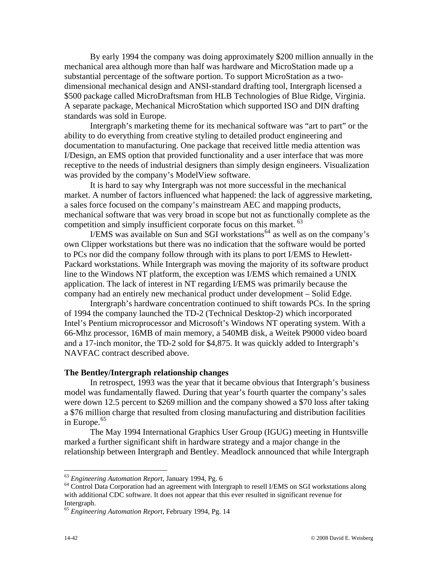By early 1994 the company was doing approximately \$200 million annually in the mechanical area although more than half was hardware and MicroStation made up a substantial percentage of the software portion. To support MicroStation as a twodimensional mechanical design and ANSI-standard drafting tool, Intergraph licensed a \$500 package called MicroDraftsman from HLB Technologies of Blue Ridge, Virginia. A separate package, Mechanical MicroStation which supported ISO and DIN drafting standards was sold in Europe.

Intergraph's marketing theme for its mechanical software was "art to part" or the ability to do everything from creative styling to detailed product engineering and documentation to manufacturing. One package that received little media attention was I/Design, an EMS option that provided functionality and a user interface that was more receptive to the needs of industrial designers than simply design engineers. Visualization was provided by the company's ModelView software.

It is hard to say why Intergraph was not more successful in the mechanical market. A number of factors influenced what happened: the lack of aggressive marketing, a sales force focused on the company's mainstream AEC and mapping products, mechanical software that was very broad in scope but not as functionally complete as the competition and simply insufficient corporate focus on this market. <sup>[63](#page-41-0)</sup>

I/EMS was available on Sun and SGI workstations<sup>[64](#page-41-1)</sup> as well as on the company's own Clipper workstations but there was no indication that the software would be ported to PCs nor did the company follow through with its plans to port I/EMS to Hewlett-Packard workstations. While Intergraph was moving the majority of its software product line to the Windows NT platform, the exception was I/EMS which remained a UNIX application. The lack of interest in NT regarding I/EMS was primarily because the company had an entirely new mechanical product under development – Solid Edge.

Intergraph's hardware concentration continued to shift towards PCs. In the spring of 1994 the company launched the TD-2 (Technical Desktop-2) which incorporated Intel's Pentium microprocessor and Microsoft's Windows NT operating system. With a 66-Mhz processor, 16MB of main memory, a 540MB disk, a Weitek P9000 video board and a 17-inch monitor, the TD-2 sold for \$4,875. It was quickly added to Intergraph's NAVFAC contract described above.

### **The Bentley/Intergraph relationship changes**

In retrospect, 1993 was the year that it became obvious that Intergraph's business model was fundamentally flawed. During that year's fourth quarter the company's sales were down 12.5 percent to \$269 million and the company showed a \$70 loss after taking a \$76 million charge that resulted from closing manufacturing and distribution facilities in Europe.<sup>[65](#page-41-2)</sup>

The May 1994 International Graphics User Group (IGUG) meeting in Huntsville marked a further significant shift in hardware strategy and a major change in the relationship between Intergraph and Bentley. Meadlock announced that while Intergraph

<span id="page-41-1"></span><span id="page-41-0"></span><sup>&</sup>lt;sup>63</sup> *Engineering Automation Report*, January 1994, Pg. 6<br><sup>64</sup> Control Data Corporation had an agreement with Intergraph to resell I/EMS on SGI workstations along with additional CDC software. It does not appear that this ever resulted in significant revenue for Intergraph.

<span id="page-41-2"></span><sup>65</sup> *Engineering Automation Report*, February 1994, Pg. 14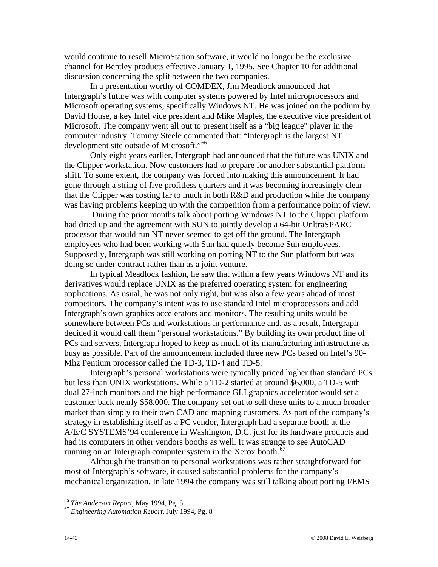would continue to resell MicroStation software, it would no longer be the exclusive channel for Bentley products effective January 1, 1995. See Chapter 10 for additional discussion concerning the split between the two companies.

In a presentation worthy of COMDEX, Jim Meadlock announced that Intergraph's future was with computer systems powered by Intel microprocessors and Microsoft operating systems, specifically Windows NT. He was joined on the podium by David House, a key Intel vice president and Mike Maples, the executive vice president of Microsoft. The company went all out to present itself as a "big league" player in the computer industry. Tommy Steele commented that: "Intergraph is the largest NT development site outside of Microsoft."<sup>[66](#page-42-0)</sup>

Only eight years earlier, Intergraph had announced that the future was UNIX and the Clipper workstation. Now customers had to prepare for another substantial platform shift. To some extent, the company was forced into making this announcement. It had gone through a string of five profitless quarters and it was becoming increasingly clear that the Clipper was costing far to much in both R&D and production while the company was having problems keeping up with the competition from a performance point of view.

 During the prior months talk about porting Windows NT to the Clipper platform had dried up and the agreement with SUN to jointly develop a 64-bit UnltraSPARC processor that would run NT never seemed to get off the ground. The Intergraph employees who had been working with Sun had quietly become Sun employees. Supposedly, Intergraph was still working on porting NT to the Sun platform but was doing so under contract rather than as a joint venture.

In typical Meadlock fashion, he saw that within a few years Windows NT and its derivatives would replace UNIX as the preferred operating system for engineering applications. As usual, he was not only right, but was also a few years ahead of most competitors. The company's intent was to use standard Intel microprocessors and add Intergraph's own graphics accelerators and monitors. The resulting units would be somewhere between PCs and workstations in performance and, as a result, Intergraph decided it would call them "personal workstations." By building its own product line of PCs and servers, Intergraph hoped to keep as much of its manufacturing infrastructure as busy as possible. Part of the announcement included three new PCs based on Intel's 90- Mhz Pentium processor called the TD-3, TD-4 and TD-5.

Intergraph's personal workstations were typically priced higher than standard PCs but less than UNIX workstations. While a TD-2 started at around \$6,000, a TD-5 with dual 27-inch monitors and the high performance GLI graphics accelerator would set a customer back nearly \$58,000. The company set out to sell these units to a much broader market than simply to their own CAD and mapping customers. As part of the company's strategy in establishing itself as a PC vendor, Intergraph had a separate booth at the A/E/C SYSTEMS'94 conference in Washington, D.C. just for its hardware products and had its computers in other vendors booths as well. It was strange to see AutoCAD running on an Intergraph computer system in the Xerox booth.<sup>[67](#page-42-1)</sup>

Although the transition to personal workstations was rather straightforward for most of Intergraph's software, it caused substantial problems for the company's mechanical organization. In late 1994 the company was still talking about porting I/EMS

<span id="page-42-0"></span><sup>&</sup>lt;sup>66</sup> The Anderson Report, May 1994, Pg. 5

<span id="page-42-1"></span><sup>66</sup> *The Anderson Report*, May 1994, Pg. 5 67 *Engineering Automation Report*, July 1994, Pg. 8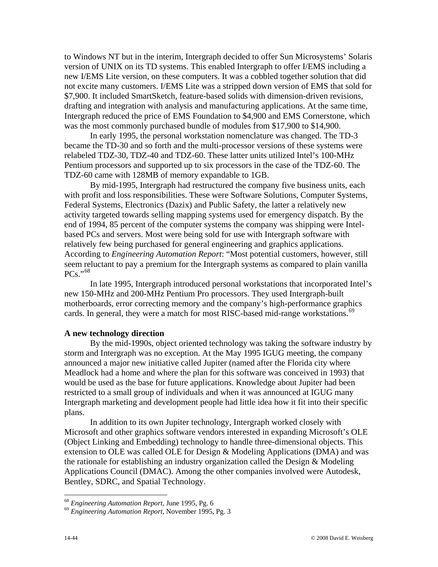to Windows NT but in the interim, Intergraph decided to offer Sun Microsystems' Solaris version of UNIX on its TD systems. This enabled Intergraph to offer I/EMS including a new I/EMS Lite version, on these computers. It was a cobbled together solution that did not excite many customers. I/EMS Lite was a stripped down version of EMS that sold for \$7,900. It included SmartSketch, feature-based solids with dimension-driven revisions, drafting and integration with analysis and manufacturing applications. At the same time, Intergraph reduced the price of EMS Foundation to \$4,900 and EMS Cornerstone, which was the most commonly purchased bundle of modules from \$17,900 to \$14,900.

In early 1995, the personal workstation nomenclature was changed. The TD-3 became the TD-30 and so forth and the multi-processor versions of these systems were relabeled TDZ-30, TDZ-40 and TDZ-60. These latter units utilized Intel's 100-MHz Pentium processors and supported up to six processors in the case of the TDZ-60. The TDZ-60 came with 128MB of memory expandable to 1GB.

By mid-1995, Intergraph had restructured the company five business units, each with profit and loss responsibilities. These were Software Solutions, Computer Systems, Federal Systems, Electronics (Dazix) and Public Safety, the latter a relatively new activity targeted towards selling mapping systems used for emergency dispatch. By the end of 1994, 85 percent of the computer systems the company was shipping were Intelbased PCs and servers. Most were being sold for use with Intergraph software with relatively few being purchased for general engineering and graphics applications. According to *Engineering Automation Report*: "Most potential customers, however, still seem reluctant to pay a premium for the Intergraph systems as compared to plain vanilla  $PCs.$ <sup>"[68](#page-43-0)</sup>

In late 1995, Intergraph introduced personal workstations that incorporated Intel's new 150-MHz and 200-MHz Pentium Pro processors. They used Intergraph-built motherboards, error correcting memory and the company's high-performance graphics cards. In general, they were a match for most RISC-based mid-range workstations.<sup>[69](#page-43-1)</sup>

# **A new technology direction**

By the mid-1990s, object oriented technology was taking the software industry by storm and Intergraph was no exception. At the May 1995 IGUG meeting, the company announced a major new initiative called Jupiter (named after the Florida city where Meadlock had a home and where the plan for this software was conceived in 1993) that would be used as the base for future applications. Knowledge about Jupiter had been restricted to a small group of individuals and when it was announced at IGUG many Intergraph marketing and development people had little idea how it fit into their specific plans.

In addition to its own Jupiter technology, Intergraph worked closely with Microsoft and other graphics software vendors interested in expanding Microsoft's OLE (Object Linking and Embedding) technology to handle three-dimensional objects. This extension to OLE was called OLE for Design & Modeling Applications (DMA) and was the rationale for establishing an industry organization called the Design & Modeling Applications Council (DMAC). Among the other companies involved were Autodesk, Bentley, SDRC, and Spatial Technology.

<span id="page-43-1"></span><span id="page-43-0"></span><sup>&</sup>lt;sup>68</sup> *Engineering Automation Report*, June 1995, Pg. 6<sup>69</sup> *Engineering Automation Report*, November 1995, Pg. 3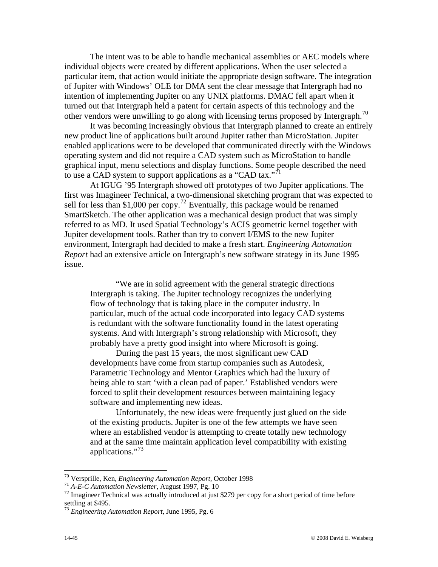The intent was to be able to handle mechanical assemblies or AEC models where individual objects were created by different applications. When the user selected a particular item, that action would initiate the appropriate design software. The integration of Jupiter with Windows' OLE for DMA sent the clear message that Intergraph had no intention of implementing Jupiter on any UNIX platforms. DMAC fell apart when it turned out that Intergraph held a patent for certain aspects of this technology and the other vendors were unwilling to go along with licensing terms proposed by Intergraph.<sup>[70](#page-44-0)</sup>

It was becoming increasingly obvious that Intergraph planned to create an entirely new product line of applications built around Jupiter rather than MicroStation. Jupiter enabled applications were to be developed that communicated directly with the Windows operating system and did not require a CAD system such as MicroStation to handle graphical input, menu selections and display functions. Some people described the need to use a CAD system to support applications as a "CAD tax."<sup>[71](#page-44-1)</sup>

At IGUG '95 Intergraph showed off prototypes of two Jupiter applications. The first was Imagineer Technical, a two-dimensional sketching program that was expected to sell for less than \$1,000 per copy.<sup>[72](#page-44-2)</sup> Eventually, this package would be renamed SmartSketch. The other application was a mechanical design product that was simply referred to as MD. It used Spatial Technology's ACIS geometric kernel together with Jupiter development tools. Rather than try to convert I/EMS to the new Jupiter environment, Intergraph had decided to make a fresh start. *Engineering Automation Report* had an extensive article on Intergraph's new software strategy in its June 1995 issue.

"We are in solid agreement with the general strategic directions Intergraph is taking. The Jupiter technology recognizes the underlying flow of technology that is taking place in the computer industry. In particular, much of the actual code incorporated into legacy CAD systems is redundant with the software functionality found in the latest operating systems. And with Intergraph's strong relationship with Microsoft, they probably have a pretty good insight into where Microsoft is going.

During the past 15 years, the most significant new CAD developments have come from startup companies such as Autodesk, Parametric Technology and Mentor Graphics which had the luxury of being able to start 'with a clean pad of paper.' Established vendors were forced to split their development resources between maintaining legacy software and implementing new ideas.

Unfortunately, the new ideas were frequently just glued on the side of the existing products. Jupiter is one of the few attempts we have seen where an established vendor is attempting to create totally new technology and at the same time maintain application level compatibility with existing applications."[73](#page-44-3)

<span id="page-44-0"></span><sup>&</sup>lt;sup>70</sup> Versprille, Ken, *Engineering Automation Report*, October 1998

<span id="page-44-2"></span><span id="page-44-1"></span><sup>&</sup>lt;sup>71</sup> A-E-C Automation Newsletter, August 1997, Pg. 10<br><sup>72</sup> Imagineer Technical was actually introduced at just \$279 per copy for a short period of time before settling at \$495.

<span id="page-44-3"></span><sup>73</sup> *Engineering Automation Report*, June 1995, Pg. 6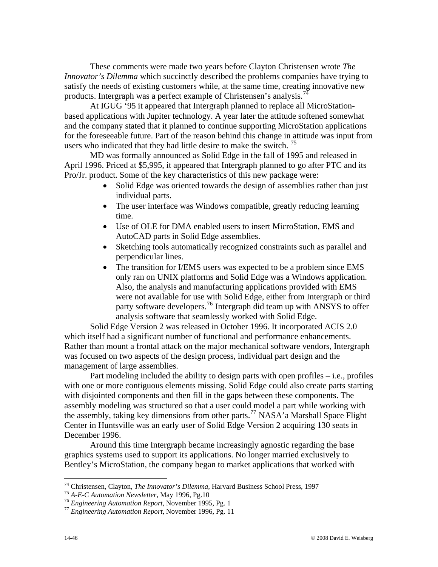These comments were made two years before Clayton Christensen wrote *The Innovator's Dilemma* which succinctly described the problems companies have trying to satisfy the needs of existing customers while, at the same time, creating innovative new products. Intergraph was a perfect example of Christensen's analysis.<sup>[74](#page-45-0)</sup>

At IGUG '95 it appeared that Intergraph planned to replace all MicroStationbased applications with Jupiter technology. A year later the attitude softened somewhat and the company stated that it planned to continue supporting MicroStation applications for the foreseeable future. Part of the reason behind this change in attitude was input from users who indicated that they had little desire to make the switch.<sup>[75](#page-45-1)</sup>

MD was formally announced as Solid Edge in the fall of 1995 and released in April 1996. Priced at \$5,995, it appeared that Intergraph planned to go after PTC and its Pro/Jr. product. Some of the key characteristics of this new package were:

- Solid Edge was oriented towards the design of assemblies rather than just individual parts.
- The user interface was Windows compatible, greatly reducing learning time.
- Use of OLE for DMA enabled users to insert MicroStation, EMS and AutoCAD parts in Solid Edge assemblies.
- Sketching tools automatically recognized constraints such as parallel and perpendicular lines.
- The transition for I/EMS users was expected to be a problem since EMS only ran on UNIX platforms and Solid Edge was a Windows application. Also, the analysis and manufacturing applications provided with EMS were not available for use with Solid Edge, either from Intergraph or third party software developers.<sup>[76](#page-45-2)</sup> Intergraph did team up with ANSYS to offer analysis software that seamlessly worked with Solid Edge.

Solid Edge Version 2 was released in October 1996. It incorporated ACIS 2.0 which itself had a significant number of functional and performance enhancements. Rather than mount a frontal attack on the major mechanical software vendors, Intergraph was focused on two aspects of the design process, individual part design and the management of large assemblies.

Part modeling included the ability to design parts with open profiles – i.e., profiles with one or more contiguous elements missing. Solid Edge could also create parts starting with disjointed components and then fill in the gaps between these components. The assembly modeling was structured so that a user could model a part while working with the assembly, taking key dimensions from other parts.<sup>[77](#page-45-3)</sup> NASA'a Marshall Space Flight Center in Huntsville was an early user of Solid Edge Version 2 acquiring 130 seats in December 1996.

Around this time Intergraph became increasingly agnostic regarding the base graphics systems used to support its applications. No longer married exclusively to Bentley's MicroStation, the company began to market applications that worked with

<span id="page-45-0"></span><sup>&</sup>lt;sup>74</sup> Christensen, Clayton, *The Innovator's Dilemma*, Harvard Business School Press, 1997<br><sup>75</sup> A-E-C Automation Newsletter, May 1996, Pg.10<br><sup>76</sup> Engineering Automation Report, November 1995, Pg. 1<br><sup>77</sup> Engineering Automat

<span id="page-45-1"></span>

<span id="page-45-2"></span>

<span id="page-45-3"></span>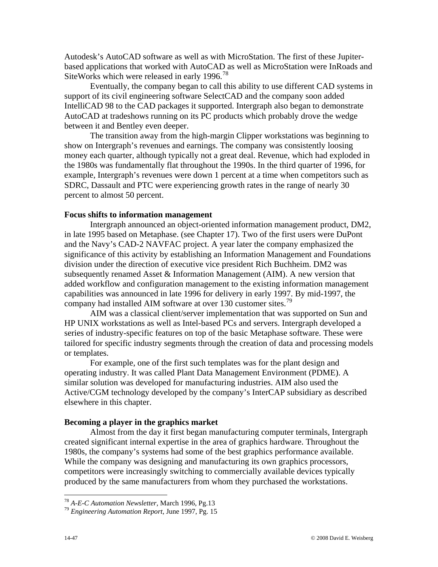Autodesk's AutoCAD software as well as with MicroStation. The first of these Jupiterbased applications that worked with AutoCAD as well as MicroStation were InRoads and SiteWorks which were released in early 1996.<sup>[78](#page-46-0)</sup>

Eventually, the company began to call this ability to use different CAD systems in support of its civil engineering software SelectCAD and the company soon added IntelliCAD 98 to the CAD packages it supported. Intergraph also began to demonstrate AutoCAD at tradeshows running on its PC products which probably drove the wedge between it and Bentley even deeper.

The transition away from the high-margin Clipper workstations was beginning to show on Intergraph's revenues and earnings. The company was consistently loosing money each quarter, although typically not a great deal. Revenue, which had exploded in the 1980s was fundamentally flat throughout the 1990s. In the third quarter of 1996, for example, Intergraph's revenues were down 1 percent at a time when competitors such as SDRC, Dassault and PTC were experiencing growth rates in the range of nearly 30 percent to almost 50 percent.

# **Focus shifts to information management**

Intergraph announced an object-oriented information management product, DM2, in late 1995 based on Metaphase. (see Chapter 17). Two of the first users were DuPont and the Navy's CAD-2 NAVFAC project. A year later the company emphasized the significance of this activity by establishing an Information Management and Foundations division under the direction of executive vice president Rich Buchheim. DM2 was subsequently renamed Asset & Information Management (AIM). A new version that added workflow and configuration management to the existing information management capabilities was announced in late 1996 for delivery in early 1997. By mid-1997, the company had installed AIM software at over 130 customer sites.<sup>[79](#page-46-1)</sup>

AIM was a classical client/server implementation that was supported on Sun and HP UNIX workstations as well as Intel-based PCs and servers. Intergraph developed a series of industry-specific features on top of the basic Metaphase software. These were tailored for specific industry segments through the creation of data and processing models or templates.

For example, one of the first such templates was for the plant design and operating industry. It was called Plant Data Management Environment (PDME). A similar solution was developed for manufacturing industries. AIM also used the Active/CGM technology developed by the company's InterCAP subsidiary as described elsewhere in this chapter.

# **Becoming a player in the graphics market**

Almost from the day it first began manufacturing computer terminals, Intergraph created significant internal expertise in the area of graphics hardware. Throughout the 1980s, the company's systems had some of the best graphics performance available. While the company was designing and manufacturing its own graphics processors, competitors were increasingly switching to commercially available devices typically produced by the same manufacturers from whom they purchased the workstations.

<span id="page-46-0"></span><sup>78</sup> *A-E-C Automation Newsletter*, March 1996, Pg.13 79 *Engineering Automation Report*, June 1997, Pg. 15

<span id="page-46-1"></span>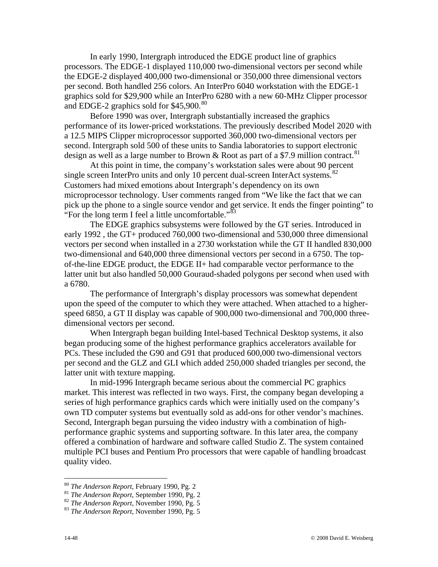In early 1990, Intergraph introduced the EDGE product line of graphics processors. The EDGE-1 displayed 110,000 two-dimensional vectors per second while the EDGE-2 displayed 400,000 two-dimensional or 350,000 three dimensional vectors per second. Both handled 256 colors. An InterPro 6040 workstation with the EDGE-1 graphics sold for \$29,900 while an InterPro 6280 with a new 60-MHz Clipper processor and EDGE-2 graphics sold for \$45,900.<sup>[80](#page-47-0)</sup>

Before 1990 was over, Intergraph substantially increased the graphics performance of its lower-priced workstations. The previously described Model 2020 with a 12.5 MIPS Clipper microprocessor supported 360,000 two-dimensional vectors per second. Intergraph sold 500 of these units to Sandia laboratories to support electronic design as well as a large number to Brown & Root as part of a \$7.9 million contract.<sup>[81](#page-47-1)</sup>

At this point in time, the company's workstation sales were about 90 percent single screen InterPro units and only 10 percent dual-screen InterAct systems. $82$ Customers had mixed emotions about Intergraph's dependency on its own microprocessor technology. User comments ranged from "We like the fact that we can pick up the phone to a single source vendor and get service. It ends the finger pointing" to "For the long term I feel a little uncomfortable."<sup>[83](#page-47-3)</sup>

The EDGE graphics subsystems were followed by the GT series. Introduced in early 1992 , the GT+ produced 760,000 two-dimensional and 530,000 three dimensional vectors per second when installed in a 2730 workstation while the GT II handled 830,000 two-dimensional and 640,000 three dimensional vectors per second in a 6750. The topof-the-line EDGE product, the EDGE II+ had comparable vector performance to the latter unit but also handled 50,000 Gouraud-shaded polygons per second when used with a 6780.

The performance of Intergraph's display processors was somewhat dependent upon the speed of the computer to which they were attached. When attached to a higherspeed 6850, a GT II display was capable of 900,000 two-dimensional and 700,000 threedimensional vectors per second.

When Intergraph began building Intel-based Technical Desktop systems, it also began producing some of the highest performance graphics accelerators available for PCs. These included the G90 and G91 that produced 600,000 two-dimensional vectors per second and the GLZ and GLI which added 250,000 shaded triangles per second, the latter unit with texture mapping.

In mid-1996 Intergraph became serious about the commercial PC graphics market. This interest was reflected in two ways. First, the company began developing a series of high performance graphics cards which were initially used on the company's own TD computer systems but eventually sold as add-ons for other vendor's machines. Second, Intergraph began pursuing the video industry with a combination of highperformance graphic systems and supporting software. In this later area, the company offered a combination of hardware and software called Studio Z. The system contained multiple PCI buses and Pentium Pro processors that were capable of handling broadcast quality video.

<span id="page-47-0"></span><sup>&</sup>lt;sup>80</sup> The Anderson Report, February 1990, Pg. 2

<span id="page-47-3"></span><span id="page-47-2"></span>

<span id="page-47-1"></span><sup>81</sup> *The Anderson Report*, September 1990, Pg. 2<br><sup>82</sup> *The Anderson Report*, November 1990, Pg. 5<br><sup>83</sup> *The Anderson Report*, November 1990, Pg. 5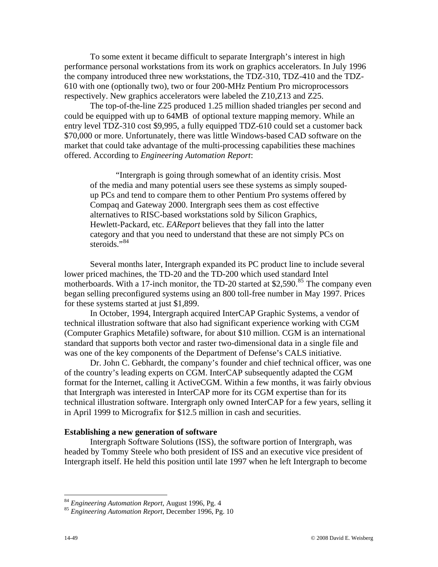To some extent it became difficult to separate Intergraph's interest in high performance personal workstations from its work on graphics accelerators. In July 1996 the company introduced three new workstations, the TDZ-310, TDZ-410 and the TDZ-610 with one (optionally two), two or four 200-MHz Pentium Pro microprocessors respectively. New graphics accelerators were labeled the Z10,Z13 and Z25.

The top-of-the-line Z25 produced 1.25 million shaded triangles per second and could be equipped with up to 64MB of optional texture mapping memory. While an entry level TDZ-310 cost \$9,995, a fully equipped TDZ-610 could set a customer back \$70,000 or more. Unfortunately, there was little Windows-based CAD software on the market that could take advantage of the multi-processing capabilities these machines offered. According to *Engineering Automation Report*:

"Intergraph is going through somewhat of an identity crisis. Most of the media and many potential users see these systems as simply soupedup PCs and tend to compare them to other Pentium Pro systems offered by Compaq and Gateway 2000. Intergraph sees them as cost effective alternatives to RISC-based workstations sold by Silicon Graphics, Hewlett-Packard, etc. *EAReport* believes that they fall into the latter category and that you need to understand that these are not simply PCs on steroids."<sup>[84](#page-48-0)</sup>

Several months later, Intergraph expanded its PC product line to include several lower priced machines, the TD-20 and the TD-200 which used standard Intel motherboards. With a 17-inch monitor, the TD-20 started at  $$2,590$ .<sup>[85](#page-48-1)</sup> The company even began selling preconfigured systems using an 800 toll-free number in May 1997. Prices for these systems started at just \$1,899.

In October, 1994, Intergraph acquired InterCAP Graphic Systems, a vendor of technical illustration software that also had significant experience working with CGM (Computer Graphics Metafile) software, for about \$10 million. CGM is an international standard that supports both vector and raster two-dimensional data in a single file and was one of the key components of the Department of Defense's CALS initiative.

Dr. John C. Gebhardt, the company's founder and chief technical officer, was one of the country's leading experts on CGM. InterCAP subsequently adapted the CGM format for the Internet, calling it ActiveCGM. Within a few months, it was fairly obvious that Intergraph was interested in InterCAP more for its CGM expertise than for its technical illustration software. Intergraph only owned InterCAP for a few years, selling it in April 1999 to Micrografix for \$12.5 million in cash and securities.

### **Establishing a new generation of software**

Intergraph Software Solutions (ISS), the software portion of Intergraph, was headed by Tommy Steele who both president of ISS and an executive vice president of Intergraph itself. He held this position until late 1997 when he left Intergraph to become

<span id="page-48-1"></span><span id="page-48-0"></span><sup>84</sup> *Engineering Automation Report*, August 1996, Pg. 4 85 *Engineering Automation Report*, December 1996, Pg. 10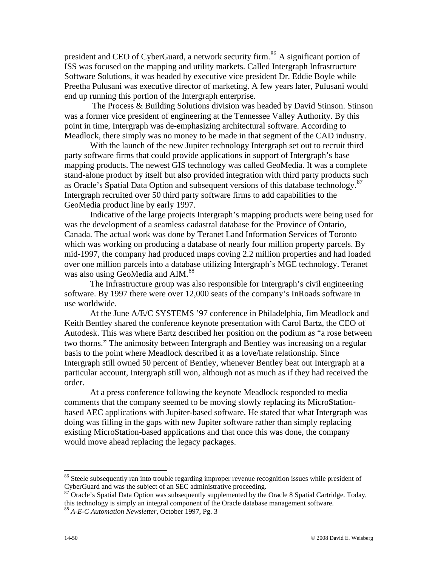president and CEO of CyberGuard, a network security firm.<sup>[86](#page-49-0)</sup> A significant portion of ISS was focused on the mapping and utility markets. Called Intergraph Infrastructure Software Solutions, it was headed by executive vice president Dr. Eddie Boyle while Preetha Pulusani was executive director of marketing. A few years later, Pulusani would end up running this portion of the Intergraph enterprise.

 The Process & Building Solutions division was headed by David Stinson. Stinson was a former vice president of engineering at the Tennessee Valley Authority. By this point in time, Intergraph was de-emphasizing architectural software. According to Meadlock, there simply was no money to be made in that segment of the CAD industry.

With the launch of the new Jupiter technology Intergraph set out to recruit third party software firms that could provide applications in support of Intergraph's base mapping products. The newest GIS technology was called GeoMedia. It was a complete stand-alone product by itself but also provided integration with third party products such as Oracle's Spatial Data Option and subsequent versions of this database technology.<sup>[87](#page-49-1)</sup> Intergraph recruited over 50 third party software firms to add capabilities to the GeoMedia product line by early 1997.

Indicative of the large projects Intergraph's mapping products were being used for was the development of a seamless cadastral database for the Province of Ontario, Canada. The actual work was done by Teranet Land Information Services of Toronto which was working on producing a database of nearly four million property parcels. By mid-1997, the company had produced maps coving 2.2 million properties and had loaded over one million parcels into a database utilizing Intergraph's MGE technology. Teranet was also using GeoMedia and AIM.<sup>[88](#page-49-2)</sup>

The Infrastructure group was also responsible for Intergraph's civil engineering software. By 1997 there were over 12,000 seats of the company's InRoads software in use worldwide.

At the June A/E/C SYSTEMS '97 conference in Philadelphia, Jim Meadlock and Keith Bentley shared the conference keynote presentation with Carol Bartz, the CEO of Autodesk. This was where Bartz described her position on the podium as "a rose between two thorns." The animosity between Intergraph and Bentley was increasing on a regular basis to the point where Meadlock described it as a love/hate relationship. Since Intergraph still owned 50 percent of Bentley, whenever Bentley beat out Intergraph at a particular account, Intergraph still won, although not as much as if they had received the order.

At a press conference following the keynote Meadlock responded to media comments that the company seemed to be moving slowly replacing its MicroStationbased AEC applications with Jupiter-based software. He stated that what Intergraph was doing was filling in the gaps with new Jupiter software rather than simply replacing existing MicroStation-based applications and that once this was done, the company would move ahead replacing the legacy packages.

<span id="page-49-0"></span><sup>&</sup>lt;sup>86</sup> Steele subsequently ran into trouble regarding improper revenue recognition issues while president of CyberGuard and was the subject of an SEC administrative proceeding.

<span id="page-49-1"></span><sup>&</sup>lt;sup>87</sup> Oracle's Spatial Data Option was subsequently supplemented by the Oracle 8 Spatial Cartridge. Today, this technology is simply an integral component of the Oracle database management software.

<span id="page-49-2"></span><sup>88</sup> *A-E-C Automation Newsletter*, October 1997, Pg. 3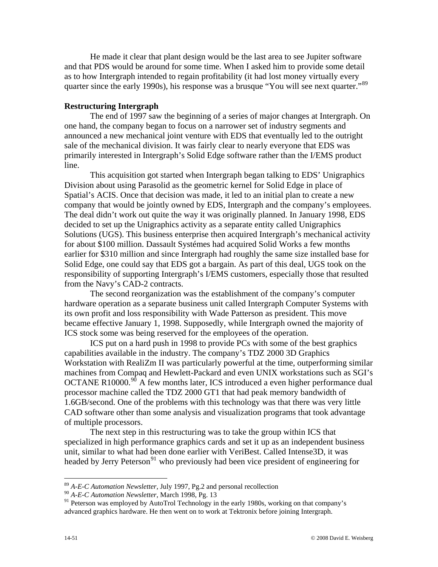He made it clear that plant design would be the last area to see Jupiter software and that PDS would be around for some time. When I asked him to provide some detail as to how Intergraph intended to regain profitability (it had lost money virtually every quarter since the early 1990s), his response was a brusque "You will see next quarter."<sup>[89](#page-50-0)</sup>

# **Restructuring Intergraph**

The end of 1997 saw the beginning of a series of major changes at Intergraph. On one hand, the company began to focus on a narrower set of industry segments and announced a new mechanical joint venture with EDS that eventually led to the outright sale of the mechanical division. It was fairly clear to nearly everyone that EDS was primarily interested in Intergraph's Solid Edge software rather than the I/EMS product line.

This acquisition got started when Intergraph began talking to EDS' Unigraphics Division about using Parasolid as the geometric kernel for Solid Edge in place of Spatial's ACIS. Once that decision was made, it led to an initial plan to create a new company that would be jointly owned by EDS, Intergraph and the company's employees. The deal didn't work out quite the way it was originally planned. In January 1998, EDS decided to set up the Unigraphics activity as a separate entity called Unigraphics Solutions (UGS). This business enterprise then acquired Intergraph's mechanical activity for about \$100 million. Dassault Systémes had acquired Solid Works a few months earlier for \$310 million and since Intergraph had roughly the same size installed base for Solid Edge, one could say that EDS got a bargain. As part of this deal, UGS took on the responsibility of supporting Intergraph's I/EMS customers, especially those that resulted from the Navy's CAD-2 contracts.

The second reorganization was the establishment of the company's computer hardware operation as a separate business unit called Intergraph Computer Systems with its own profit and loss responsibility with Wade Patterson as president. This move became effective January 1, 1998. Supposedly, while Intergraph owned the majority of ICS stock some was being reserved for the employees of the operation.

ICS put on a hard push in 1998 to provide PCs with some of the best graphics capabilities available in the industry. The company's TDZ 2000 3D Graphics Workstation with RealiZm II was particularly powerful at the time, outperforming similar machines from Compaq and Hewlett-Packard and even UNIX workstations such as SGI's OCTANE R10000.<sup>[90](#page-50-1)</sup> A few months later, ICS introduced a even higher performance dual processor machine called the TDZ 2000 GT1 that had peak memory bandwidth of 1.6GB/second. One of the problems with this technology was that there was very little CAD software other than some analysis and visualization programs that took advantage of multiple processors.

The next step in this restructuring was to take the group within ICS that specialized in high performance graphics cards and set it up as an independent business unit, similar to what had been done earlier with VeriBest. Called Intense3D, it was headed by Jerry Peterson<sup>[91](#page-50-2)</sup> who previously had been vice president of engineering for

<sup>89</sup> *A-E-C Automation Newsletter*, July 1997, Pg.2 and personal recollection

<span id="page-50-1"></span><span id="page-50-0"></span><sup>90</sup> *A-E-C Automation Newsletter*, March 1998, Pg. 13

<span id="page-50-2"></span><sup>&</sup>lt;sup>91</sup> Peterson was employed by AutoTrol Technology in the early 1980s, working on that company's advanced graphics hardware. He then went on to work at Tektronix before joining Intergraph.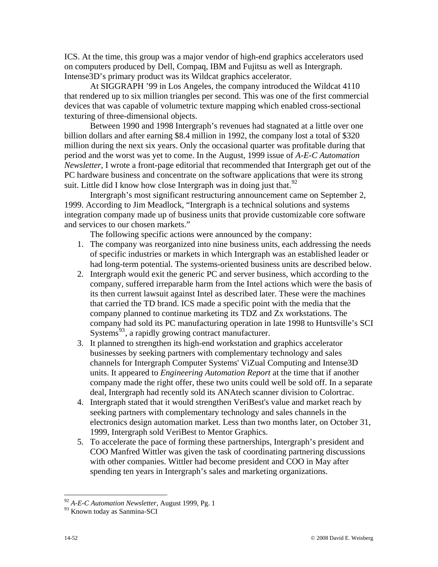ICS. At the time, this group was a major vendor of high-end graphics accelerators used on computers produced by Dell, Compaq, IBM and Fujitsu as well as Intergraph. Intense3D's primary product was its Wildcat graphics accelerator.

At SIGGRAPH '99 in Los Angeles, the company introduced the Wildcat 4110 that rendered up to six million triangles per second. This was one of the first commercial devices that was capable of volumetric texture mapping which enabled cross-sectional texturing of three-dimensional objects.

Between 1990 and 1998 Intergraph's revenues had stagnated at a little over one billion dollars and after earning \$8.4 million in 1992, the company lost a total of \$320 million during the next six years. Only the occasional quarter was profitable during that period and the worst was yet to come. In the August, 1999 issue of *A-E-C Automation Newsletter*, I wrote a front-page editorial that recommended that Intergraph get out of the PC hardware business and concentrate on the software applications that were its strong suit. Little did I know how close Intergraph was in doing just that.  $92$ 

Intergraph's most significant restructuring announcement came on September 2, 1999. According to Jim Meadlock, "Intergraph is a technical solutions and systems integration company made up of business units that provide customizable core software and services to our chosen markets."

The following specific actions were announced by the company:

- 1. The company was reorganized into nine business units, each addressing the needs of specific industries or markets in which Intergraph was an established leader or had long-term potential. The systems-oriented business units are described below.
- 2. Intergraph would exit the generic PC and server business, which according to the company, suffered irreparable harm from the Intel actions which were the basis of its then current lawsuit against Intel as described later. These were the machines that carried the TD brand. ICS made a specific point with the media that the company planned to continue marketing its TDZ and Zx workstations. The company had sold its PC manufacturing operation in late 1998 to Huntsville's SCI Systems<sup>[93](#page-51-1)</sup>, a rapidly growing contract manufacturer.
- 3. It planned to strengthen its high-end workstation and graphics accelerator businesses by seeking partners with complementary technology and sales channels for Intergraph Computer Systems' ViZual Computing and Intense3D units. It appeared to *Engineering Automation Report* at the time that if another company made the right offer, these two units could well be sold off. In a separate deal, Intergraph had recently sold its ANAtech scanner division to Colortrac.
- 4. Intergraph stated that it would strengthen VeriBest's value and market reach by seeking partners with complementary technology and sales channels in the electronics design automation market. Less than two months later, on October 31, 1999, Intergraph sold VeriBest to Mentor Graphics.
- 5. To accelerate the pace of forming these partnerships, Intergraph's president and COO Manfred Wittler was given the task of coordinating partnering discussions with other companies. Wittler had become president and COO in May after spending ten years in Intergraph's sales and marketing organizations.

<span id="page-51-0"></span><sup>92</sup> *A-E-C Automation Newsletter*, August 1999, Pg. 1

<span id="page-51-1"></span><sup>93</sup> Known today as Sanmina-SCI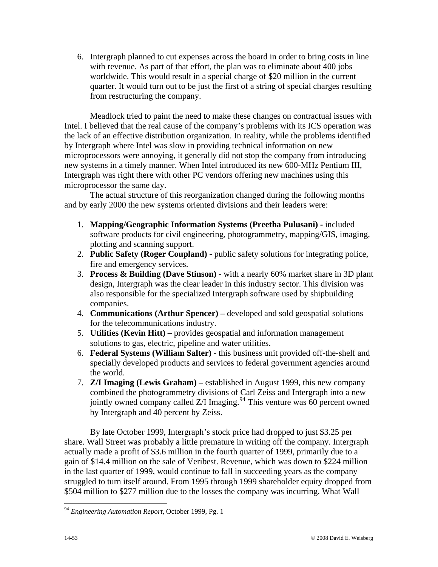6. Intergraph planned to cut expenses across the board in order to bring costs in line with revenue. As part of that effort, the plan was to eliminate about 400 jobs worldwide. This would result in a special charge of \$20 million in the current quarter. It would turn out to be just the first of a string of special charges resulting from restructuring the company.

Meadlock tried to paint the need to make these changes on contractual issues with Intel. I believed that the real cause of the company's problems with its ICS operation was the lack of an effective distribution organization. In reality, while the problems identified by Intergraph where Intel was slow in providing technical information on new microprocessors were annoying, it generally did not stop the company from introducing new systems in a timely manner. When Intel introduced its new 600-MHz Pentium III, Intergraph was right there with other PC vendors offering new machines using this microprocessor the same day.

The actual structure of this reorganization changed during the following months and by early 2000 the new systems oriented divisions and their leaders were:

- 1. **Mapping/Geographic Information Systems (Preetha Pulusani) -** included software products for civil engineering, photogrammetry, mapping/GIS, imaging, plotting and scanning support.
- 2. **Public Safety (Roger Coupland) -** public safety solutions for integrating police, fire and emergency services.
- 3. **Process & Building (Dave Stinson) -** with a nearly 60% market share in 3D plant design, Intergraph was the clear leader in this industry sector. This division was also responsible for the specialized Intergraph software used by shipbuilding companies.
- 4. **Communications (Arthur Spencer) –** developed and sold geospatial solutions for the telecommunications industry.
- 5. **Utilities (Kevin Hitt) –** provides geospatial and information management solutions to gas, electric, pipeline and water utilities.
- 6. **Federal Systems (William Salter) -** this business unit provided off-the-shelf and specially developed products and services to federal government agencies around the world.
- 7. **Z/I Imaging (Lewis Graham) –** established in August 1999, this new company combined the photogrammetry divisions of Carl Zeiss and Intergraph into a new jointly owned company called Z/I Imaging.<sup>[94](#page-52-0)</sup> This venture was 60 percent owned by Intergraph and 40 percent by Zeiss.

By late October 1999, Intergraph's stock price had dropped to just \$3.25 per share. Wall Street was probably a little premature in writing off the company. Intergraph actually made a profit of \$3.6 million in the fourth quarter of 1999, primarily due to a gain of \$14.4 million on the sale of Veribest. Revenue, which was down to \$224 million in the last quarter of 1999, would continue to fall in succeeding years as the company struggled to turn itself around. From 1995 through 1999 shareholder equity dropped from \$504 million to \$277 million due to the losses the company was incurring. What Wall

<span id="page-52-0"></span><sup>94</sup> *Engineering Automation Report*, October 1999, Pg. 1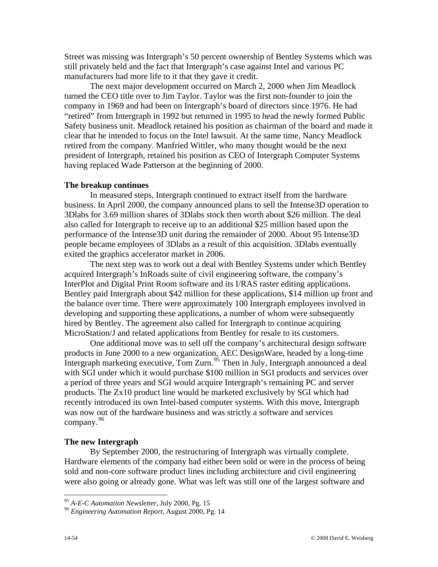Street was missing was Intergraph's 50 percent ownership of Bentley Systems which was still privately held and the fact that Intergraph's case against Intel and various PC manufacturers had more life to it that they gave it credit.

The next major development occurred on March 2, 2000 when Jim Meadlock turned the CEO title over to Jim Taylor. Taylor was the first non-founder to join the company in 1969 and had been on Intergraph's board of directors since 1976. He had "retired" from Intergraph in 1992 but returned in 1995 to head the newly formed Public Safety business unit. Meadlock retained his position as chairman of the board and made it clear that he intended to focus on the Intel lawsuit. At the same time, Nancy Meadlock retired from the company. Manfried Wittler, who many thought would be the next president of Intergraph, retained his position as CEO of Intergraph Computer Systems having replaced Wade Patterson at the beginning of 2000.

# **The breakup continues**

In measured steps, Intergraph continued to extract itself from the hardware business. In April 2000, the company announced plans to sell the Intense3D operation to 3Dlabs for 3.69 million shares of 3Dlabs stock then worth about \$26 million. The deal also called for Intergraph to receive up to an additional \$25 million based upon the performance of the Intense3D unit during the remainder of 2000. About 95 Intense3D people became employees of 3Dlabs as a result of this acquisition. 3Dlabs eventually exited the graphics accelerator market in 2006.

The next step was to work out a deal with Bentley Systems under which Bentley acquired Intergraph's InRoads suite of civil engineering software, the company's InterPlot and Digital Print Room software and its I/RAS raster editing applications. Bentley paid Intergraph about \$42 million for these applications, \$14 million up front and the balance over time. There were approximately 100 Intergraph employees involved in developing and supporting these applications, a number of whom were subsequently hired by Bentley. The agreement also called for Intergraph to continue acquiring MicroStation/J and related applications from Bentley for resale to its customers.

One additional move was to sell off the company's architectural design software products in June 2000 to a new organization, AEC DesignWare, headed by a long-time Intergraph marketing executive, Tom Zurn.<sup>[95](#page-53-0)</sup> Then in July, Intergraph announced a deal with SGI under which it would purchase \$100 million in SGI products and services over a period of three years and SGI would acquire Intergraph's remaining PC and server products. The Zx10 product line would be marketed exclusively by SGI which had recently introduced its own Intel-based computer systems. With this move, Intergraph was now out of the hardware business and was strictly a software and services company.[96](#page-53-1)

#### **The new Intergraph**

By September 2000, the restructuring of Intergraph was virtually complete. Hardware elements of the company had either been sold or were in the process of being sold and non-core software product lines including architecture and civil engineering were also going or already gone. What was left was still one of the largest software and

<span id="page-53-1"></span>

<span id="page-53-0"></span><sup>95</sup> *A-E-C Automation Newsletter*, July 2000, Pg. 15 96 *Engineering Automation Report*, August 2000, Pg. 14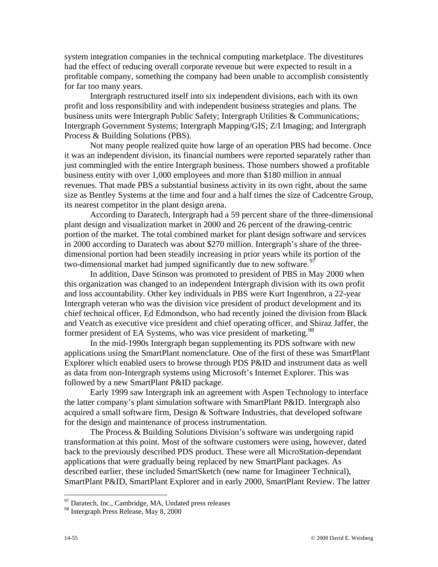system integration companies in the technical computing marketplace. The divestitures had the effect of reducing overall corporate revenue but were expected to result in a profitable company, something the company had been unable to accomplish consistently for far too many years.

Intergraph restructured itself into six independent divisions, each with its own profit and loss responsibility and with independent business strategies and plans. The business units were Intergraph Public Safety; Intergraph Utilities & Communications; Intergraph Government Systems; Intergraph Mapping/GIS; Z/I Imaging; and Intergraph Process & Building Solutions (PBS).

Not many people realized quite how large of an operation PBS had become. Once it was an independent division, its financial numbers were reported separately rather than just commingled with the entire Intergraph business. Those numbers showed a profitable business entity with over 1,000 employees and more than \$180 million in annual revenues. That made PBS a substantial business activity in its own right, about the same size as Bentley Systems at the time and four and a half times the size of Cadcentre Group, its nearest competitor in the plant design arena.

According to Daratech, Intergraph had a 59 percent share of the three-dimensional plant design and visualization market in 2000 and 26 percent of the drawing-centric portion of the market. The total combined market for plant design software and services in 2000 according to Daratech was about \$270 million. Intergraph's share of the threedimensional portion had been steadily increasing in prior years while its portion of the two-dimensional market had jumped significantly due to new software.<sup>9</sup>

In addition, Dave Stinson was promoted to president of PBS in May 2000 when this organization was changed to an independent Intergraph division with its own profit and loss accountability. Other key individuals in PBS were Kurt Ingenthron, a 22-year Intergraph veteran who was the division vice president of product development and its chief technical officer, Ed Edmondson, who had recently joined the division from Black and Veatch as executive vice president and chief operating officer, and Shiraz Jaffer, the former president of EA Systems, who was vice president of marketing.<sup>[98](#page-54-1)</sup>

In the mid-1990s Intergraph began supplementing its PDS software with new applications using the SmartPlant nomenclature. One of the first of these was SmartPlant Explorer which enabled users to browse through PDS P&ID and instrument data as well as data from non-Intergraph systems using Microsoft's Internet Explorer. This was followed by a new SmartPlant P&ID package.

Early 1999 saw Intergraph ink an agreement with Aspen Technology to interface the latter company's plant simulation software with SmartPlant P&ID. Intergraph also acquired a small software firm, Design & Software Industries, that developed software for the design and maintenance of process instrumentation.

The Process & Building Solutions Division's software was undergoing rapid transformation at this point. Most of the software customers were using, however, dated back to the previously described PDS product. These were all MicroStation-dependant applications that were gradually being replaced by new SmartPlant packages. As described earlier, these included SmartSketch (new name for Imagineer Technical), SmartPlant P&ID, SmartPlant Explorer and in early 2000, SmartPlant Review. The latter

<span id="page-54-0"></span><sup>&</sup>lt;sup>97</sup> Daratech, Inc., Cambridge, MA, Undated press releases

<span id="page-54-1"></span><sup>98</sup> Intergraph Press Release, May 8, 2000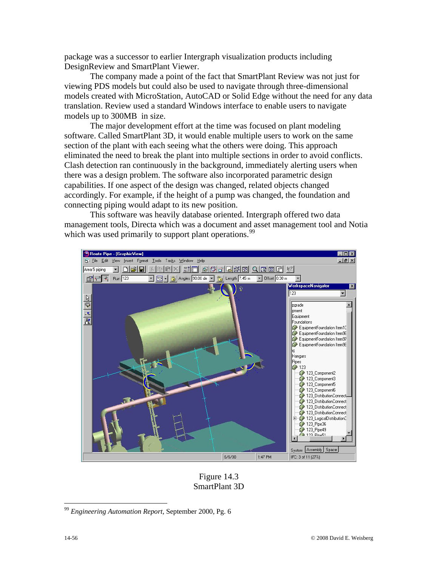package was a successor to earlier Intergraph visualization products including DesignReview and SmartPlant Viewer.

The company made a point of the fact that SmartPlant Review was not just for viewing PDS models but could also be used to navigate through three-dimensional models created with MicroStation, AutoCAD or Solid Edge without the need for any data translation. Review used a standard Windows interface to enable users to navigate models up to 300MB in size.

The major development effort at the time was focused on plant modeling software. Called SmartPlant 3D, it would enable multiple users to work on the same section of the plant with each seeing what the others were doing. This approach eliminated the need to break the plant into multiple sections in order to avoid conflicts. Clash detection ran continuously in the background, immediately alerting users when there was a design problem. The software also incorporated parametric design capabilities. If one aspect of the design was changed, related objects changed accordingly. For example, if the height of a pump was changed, the foundation and connecting piping would adapt to its new position.

This software was heavily database oriented. Intergraph offered two data management tools, Directa which was a document and asset management tool and Notia which was used primarily to support plant operations.<sup>[99](#page-55-0)</sup>



Figure 14.3 SmartPlant 3D

<u>.</u>

<span id="page-55-0"></span><sup>99</sup> *Engineering Automation Report*, September 2000, Pg. 6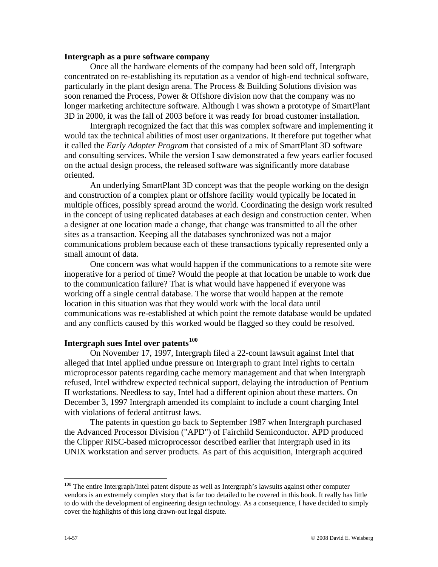# **Intergraph as a pure software company**

Once all the hardware elements of the company had been sold off, Intergraph concentrated on re-establishing its reputation as a vendor of high-end technical software, particularly in the plant design arena. The Process & Building Solutions division was soon renamed the Process, Power & Offshore division now that the company was no longer marketing architecture software. Although I was shown a prototype of SmartPlant 3D in 2000, it was the fall of 2003 before it was ready for broad customer installation.

Intergraph recognized the fact that this was complex software and implementing it would tax the technical abilities of most user organizations. It therefore put together what it called the *Early Adopter Program* that consisted of a mix of SmartPlant 3D software and consulting services. While the version I saw demonstrated a few years earlier focused on the actual design process, the released software was significantly more database oriented.

An underlying SmartPlant 3D concept was that the people working on the design and construction of a complex plant or offshore facility would typically be located in multiple offices, possibly spread around the world. Coordinating the design work resulted in the concept of using replicated databases at each design and construction center. When a designer at one location made a change, that change was transmitted to all the other sites as a transaction. Keeping all the databases synchronized was not a major communications problem because each of these transactions typically represented only a small amount of data.

One concern was what would happen if the communications to a remote site were inoperative for a period of time? Would the people at that location be unable to work due to the communication failure? That is what would have happened if everyone was working off a single central database. The worse that would happen at the remote location in this situation was that they would work with the local data until communications was re-established at which point the remote database would be updated and any conflicts caused by this worked would be flagged so they could be resolved.

# **Intergraph sues Intel over patents[100](#page-56-0)**

On November 17, 1997, Intergraph filed a 22-count lawsuit against Intel that alleged that Intel applied undue pressure on Intergraph to grant Intel rights to certain microprocessor patents regarding cache memory management and that when Intergraph refused, Intel withdrew expected technical support, delaying the introduction of Pentium II workstations. Needless to say, Intel had a different opinion about these matters. On December 3, 1997 Intergraph amended its complaint to include a count charging Intel with violations of federal antitrust laws.

The patents in question go back to September 1987 when Intergraph purchased the Advanced Processor Division ("APD") of Fairchild Semiconductor. APD produced the Clipper RISC-based microprocessor described earlier that Intergraph used in its UNIX workstation and server products. As part of this acquisition, Intergraph acquired

<span id="page-56-0"></span> $100$  The entire Intergraph/Intel patent dispute as well as Intergraph's lawsuits against other computer vendors is an extremely complex story that is far too detailed to be covered in this book. It really has little to do with the development of engineering design technology. As a consequence, I have decided to simply cover the highlights of this long drawn-out legal dispute.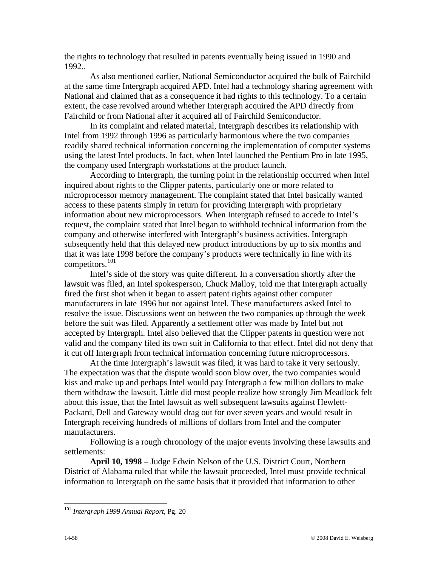the rights to technology that resulted in patents eventually being issued in 1990 and 1992..

As also mentioned earlier, National Semiconductor acquired the bulk of Fairchild at the same time Intergraph acquired APD. Intel had a technology sharing agreement with National and claimed that as a consequence it had rights to this technology. To a certain extent, the case revolved around whether Intergraph acquired the APD directly from Fairchild or from National after it acquired all of Fairchild Semiconductor.

In its complaint and related material, Intergraph describes its relationship with Intel from 1992 through 1996 as particularly harmonious where the two companies readily shared technical information concerning the implementation of computer systems using the latest Intel products. In fact, when Intel launched the Pentium Pro in late 1995, the company used Intergraph workstations at the product launch.

According to Intergraph, the turning point in the relationship occurred when Intel inquired about rights to the Clipper patents, particularly one or more related to microprocessor memory management. The complaint stated that Intel basically wanted access to these patents simply in return for providing Intergraph with proprietary information about new microprocessors. When Intergraph refused to accede to Intel's request, the complaint stated that Intel began to withhold technical information from the company and otherwise interfered with Intergraph's business activities. Intergraph subsequently held that this delayed new product introductions by up to six months and that it was late 1998 before the company's products were technically in line with its competitors.<sup>[101](#page-57-0)</sup>

Intel's side of the story was quite different. In a conversation shortly after the lawsuit was filed, an Intel spokesperson, Chuck Malloy, told me that Intergraph actually fired the first shot when it began to assert patent rights against other computer manufacturers in late 1996 but not against Intel. These manufacturers asked Intel to resolve the issue. Discussions went on between the two companies up through the week before the suit was filed. Apparently a settlement offer was made by Intel but not accepted by Intergraph. Intel also believed that the Clipper patents in question were not valid and the company filed its own suit in California to that effect. Intel did not deny that it cut off Intergraph from technical information concerning future microprocessors.

At the time Intergraph's lawsuit was filed, it was hard to take it very seriously. The expectation was that the dispute would soon blow over, the two companies would kiss and make up and perhaps Intel would pay Intergraph a few million dollars to make them withdraw the lawsuit. Little did most people realize how strongly Jim Meadlock felt about this issue, that the Intel lawsuit as well subsequent lawsuits against Hewlett-Packard, Dell and Gateway would drag out for over seven years and would result in Intergraph receiving hundreds of millions of dollars from Intel and the computer manufacturers.

Following is a rough chronology of the major events involving these lawsuits and settlements:

**April 10, 1998 –** Judge Edwin Nelson of the U.S. District Court, Northern District of Alabama ruled that while the lawsuit proceeded, Intel must provide technical information to Intergraph on the same basis that it provided that information to other

<span id="page-57-0"></span><sup>101</sup> *Intergraph 1999 Annual Report*, Pg. 20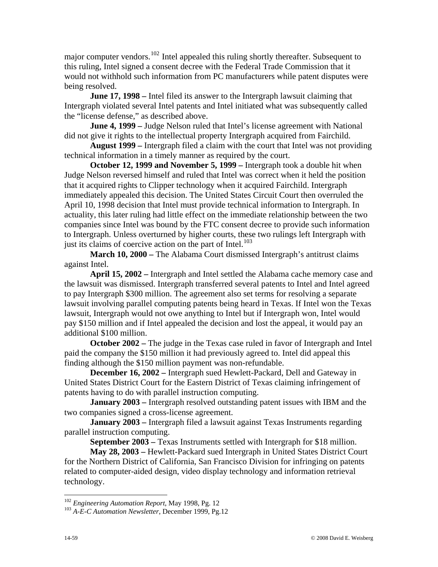major computer vendors.<sup>[102](#page-58-0)</sup> Intel appealed this ruling shortly thereafter. Subsequent to this ruling, Intel signed a consent decree with the Federal Trade Commission that it would not withhold such information from PC manufacturers while patent disputes were being resolved.

**June 17, 1998 –** Intel filed its answer to the Intergraph lawsuit claiming that Intergraph violated several Intel patents and Intel initiated what was subsequently called the "license defense," as described above.

**June 4, 1999 –** Judge Nelson ruled that Intel's license agreement with National did not give it rights to the intellectual property Intergraph acquired from Fairchild.

**August 1999 –** Intergraph filed a claim with the court that Intel was not providing technical information in a timely manner as required by the court.

**October 12, 1999 and November 5, 1999 –** Intergraph took a double hit when Judge Nelson reversed himself and ruled that Intel was correct when it held the position that it acquired rights to Clipper technology when it acquired Fairchild. Intergraph immediately appealed this decision. The United States Circuit Court then overruled the April 10, 1998 decision that Intel must provide technical information to Intergraph. In actuality, this later ruling had little effect on the immediate relationship between the two companies since Intel was bound by the FTC consent decree to provide such information to Intergraph. Unless overturned by higher courts, these two rulings left Intergraph with just its claims of coercive action on the part of Intel.<sup>[103](#page-58-1)</sup>

**March 10, 2000 –** The Alabama Court dismissed Intergraph's antitrust claims against Intel.

**April 15, 2002 –** Intergraph and Intel settled the Alabama cache memory case and the lawsuit was dismissed. Intergraph transferred several patents to Intel and Intel agreed to pay Intergraph \$300 million. The agreement also set terms for resolving a separate lawsuit involving parallel computing patents being heard in Texas. If Intel won the Texas lawsuit, Intergraph would not owe anything to Intel but if Intergraph won, Intel would pay \$150 million and if Intel appealed the decision and lost the appeal, it would pay an additional \$100 million.

**October 2002 –** The judge in the Texas case ruled in favor of Intergraph and Intel paid the company the \$150 million it had previously agreed to. Intel did appeal this finding although the \$150 million payment was non-refundable.

**December 16, 2002 –** Intergraph sued Hewlett-Packard, Dell and Gateway in United States District Court for the Eastern District of Texas claiming infringement of patents having to do with parallel instruction computing.

**January 2003 –** Intergraph resolved outstanding patent issues with IBM and the two companies signed a cross-license agreement.

**January 2003 –** Intergraph filed a lawsuit against Texas Instruments regarding parallel instruction computing.

**September 2003 –** Texas Instruments settled with Intergraph for \$18 million.

**May 28, 2003 –** Hewlett-Packard sued Intergraph in United States District Court for the Northern District of California, San Francisco Division for infringing on patents related to computer-aided design, video display technology and information retrieval technology.

<span id="page-58-0"></span><sup>&</sup>lt;sup>102</sup> Engineering Automation Report, May 1998, Pg. 12

<span id="page-58-1"></span><sup>&</sup>lt;sup>103</sup> A-E-C Automation Newsletter, December 1999, Pg.12